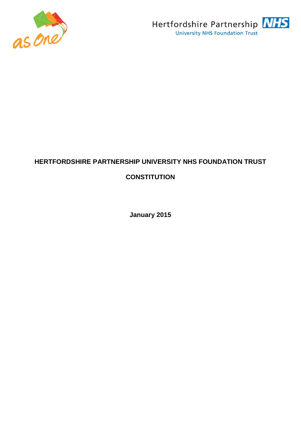



# **HERTFORDSHIRE PARTNERSHIP UNIVERSITY NHS FOUNDATION TRUST CONSTITUTION**

**January 2015**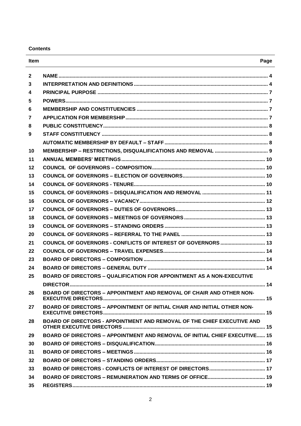**Contents**

| Item                    |                                                                                   | Page |
|-------------------------|-----------------------------------------------------------------------------------|------|
| $\mathbf{2}$            |                                                                                   |      |
| 3                       |                                                                                   |      |
| $\overline{\mathbf{4}}$ |                                                                                   |      |
| 5                       |                                                                                   |      |
| 6                       |                                                                                   |      |
| $\overline{7}$          |                                                                                   |      |
| 8                       |                                                                                   |      |
| 9                       |                                                                                   |      |
|                         |                                                                                   |      |
| 10                      |                                                                                   |      |
| 11                      |                                                                                   |      |
| 12                      |                                                                                   |      |
| 13                      |                                                                                   |      |
| 14                      |                                                                                   |      |
| 15                      |                                                                                   |      |
| 16                      |                                                                                   |      |
| 17                      |                                                                                   |      |
| 18                      |                                                                                   |      |
| 19                      |                                                                                   |      |
| 20                      |                                                                                   |      |
| 21                      | COUNCIL OF GOVERNORS - CONFLICTS OF INTEREST OF GOVERNORS  13                     |      |
| 22                      |                                                                                   |      |
| 23                      |                                                                                   |      |
| 24                      |                                                                                   |      |
| 25                      | <b>BOARD OF DIRECTORS - QUALIFICATION FOR APPOINTMENT AS A NON-EXECUTIVE</b>      |      |
|                         | <b>DIRECTOR</b>                                                                   | . 14 |
| 26                      | <b>BOARD OF DIRECTORS - APPOINTMENT AND REMOVAL OF CHAIR AND OTHER NON-</b>       |      |
|                         |                                                                                   |      |
| 27                      | BOARD OF DIRECTORS - APPOINTMENT OF INITIAL CHAIR AND INITIAL OTHER NON-          |      |
| 28                      | BOARD OF DIRECTORS - APPOINTMENT AND REMOVAL OF THE CHIEF EXECUTIVE AND           |      |
|                         |                                                                                   |      |
| 29                      | <b>BOARD OF DIRECTORS - APPOINTMENT AND REMOVAL OF INITIAL CHIEF EXECUTIVE 15</b> |      |
| 30                      |                                                                                   |      |
| 31                      |                                                                                   |      |
| 32                      |                                                                                   |      |
| 33                      |                                                                                   |      |
| 34                      |                                                                                   |      |
| 35                      |                                                                                   |      |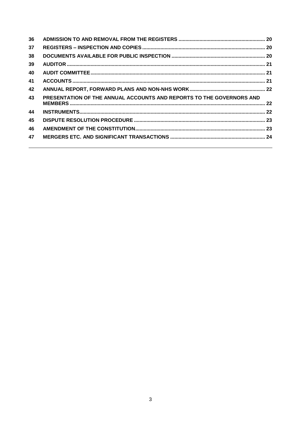| 36 |                                                                      |  |
|----|----------------------------------------------------------------------|--|
| 37 |                                                                      |  |
| 38 |                                                                      |  |
| 39 |                                                                      |  |
| 40 |                                                                      |  |
| 41 |                                                                      |  |
| 42 |                                                                      |  |
| 43 | PRESENTATION OF THE ANNUAL ACCOUNTS AND REPORTS TO THE GOVERNORS AND |  |
| 44 |                                                                      |  |
| 45 |                                                                      |  |
| 46 |                                                                      |  |
| 47 |                                                                      |  |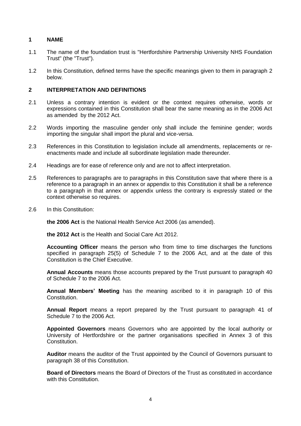# <span id="page-3-0"></span>**1 NAME**

- 1.1 The name of the foundation trust is "Hertfordshire Partnership University NHS Foundation Trust" (the "Trust").
- 1.2 In this Constitution, defined terms have the specific meanings given to them in paragraph 2 below.

## <span id="page-3-1"></span>**2 INTERPRETATION AND DEFINITIONS**

- 2.1 Unless a contrary intention is evident or the context requires otherwise, words or expressions contained in this Constitution shall bear the same meaning as in the 2006 Act as amended by the 2012 Act.
- 2.2 Words importing the masculine gender only shall include the feminine gender; words importing the singular shall import the plural and vice-versa.
- 2.3 References in this Constitution to legislation include all amendments, replacements or reenactments made and include all subordinate legislation made thereunder.
- 2.4 Headings are for ease of reference only and are not to affect interpretation.
- 2.5 References to paragraphs are to paragraphs in this Constitution save that where there is a reference to a paragraph in an annex or appendix to this Constitution it shall be a reference to a paragraph in that annex or appendix unless the contrary is expressly stated or the context otherwise so requires.
- 2.6 In this Constitution:

**the 2006 Act** is the National Health Service Act 2006 (as amended).

**the 2012 Act** is the Health and Social Care Act 2012.

**Accounting Officer** means the person who from time to time discharges the functions specified in paragraph 25(5) of Schedule 7 to the 2006 Act, and at the date of this Constitution is the Chief Executive.

**Annual Accounts** means those accounts prepared by the Trust pursuant to paragraph 40 of Schedule 7 to the 2006 Act.

**Annual Members' Meeting** has the meaning ascribed to it in paragraph 10 of this Constitution.

**Annual Report** means a report prepared by the Trust pursuant to paragraph 41 of Schedule 7 to the 2006 Act.

**Appointed Governors** means Governors who are appointed by the local authority or University of Hertfordshire or the partner organisations specified in Annex 3 of this Constitution.

**Auditor** means the auditor of the Trust appointed by the Council of Governors pursuant to paragraph 38 of this Constitution.

**Board of Directors** means the Board of Directors of the Trust as constituted in accordance with this Constitution.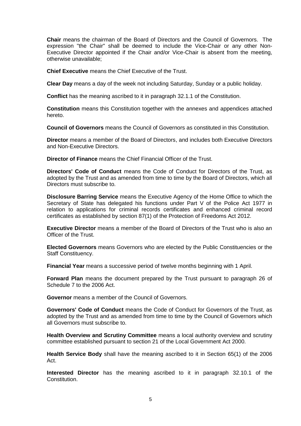**Chair** means the chairman of the Board of Directors and the Council of Governors. The expression "the Chair" shall be deemed to include the Vice-Chair or any other Non-Executive Director appointed if the Chair and/or Vice-Chair is absent from the meeting, otherwise unavailable;

**Chief Executive** means the Chief Executive of the Trust.

**Clear Day** means a day of the week not including Saturday, Sunday or a public holiday.

**Conflict** has the meaning ascribed to it in paragraph 32.1.1 of the Constitution.

**Constitution** means this Constitution together with the annexes and appendices attached hereto.

**Council of Governors** means the Council of Governors as constituted in this Constitution.

**Director** means a member of the Board of Directors, and includes both Executive Directors and Non-Executive Directors.

**Director of Finance** means the Chief Financial Officer of the Trust.

**Directors' Code of Conduct** means the Code of Conduct for Directors of the Trust, as adopted by the Trust and as amended from time to time by the Board of Directors, which all Directors must subscribe to.

**Disclosure Barring Service** means the Executive Agency of the Home Office to which the Secretary of State has delegated his functions under Part V of the Police Act 1977 in relation to applications for criminal records certificates and enhanced criminal record certificates as established by section 87(1) of the Protection of Freedoms Act 2012.

**Executive Director** means a member of the Board of Directors of the Trust who is also an Officer of the Trust.

**Elected Governors** means Governors who are elected by the Public Constituencies or the Staff Constituency.

**Financial Year** means a successive period of twelve months beginning with 1 April.

**Forward Plan** means the document prepared by the Trust pursuant to paragraph 26 of Schedule 7 to the 2006 Act.

**Governor** means a member of the Council of Governors.

**Governors' Code of Conduct** means the Code of Conduct for Governors of the Trust, as adopted by the Trust and as amended from time to time by the Council of Governors which all Governors must subscribe to.

**Health Overview and Scrutiny Committee** means a local authority overview and scrutiny committee established pursuant to section 21 of the Local Government Act 2000.

**Health Service Body** shall have the meaning ascribed to it in Section 65(1) of the 2006 Act.

**Interested Director** has the meaning ascribed to it in paragraph 32.10.1 of the Constitution.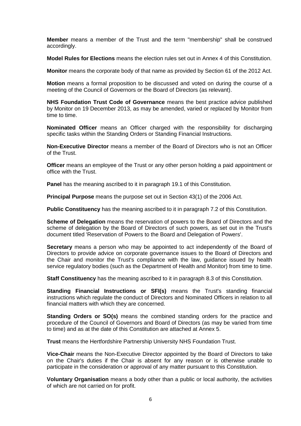**Member** means a member of the Trust and the term "membership" shall be construed accordingly.

**Model Rules for Elections** means the election rules set out in Annex 4 of this Constitution.

**Monitor** means the corporate body of that name as provided by Section 61 of the 2012 Act.

**Motion** means a formal proposition to be discussed and voted on during the course of a meeting of the Council of Governors or the Board of Directors (as relevant).

**NHS Foundation Trust Code of Governance** means the best practice advice published by Monitor on 19 December 2013, as may be amended, varied or replaced by Monitor from time to time.

**Nominated Officer** means an Officer charged with the responsibility for discharging specific tasks within the Standing Orders or Standing Financial Instructions.

**Non-Executive Director** means a member of the Board of Directors who is not an Officer of the Trust.

**Officer** means an employee of the Trust or any other person holding a paid appointment or office with the Trust.

**Panel** has the meaning ascribed to it in paragraph 19.1 of this Constitution.

**Principal Purpose** means the purpose set out in Section 43(1) of the 2006 Act.

**Public Constituency** has the meaning ascribed to it in paragraph 7.2 of this Constitution.

**Scheme of Delegation** means the reservation of powers to the Board of Directors and the scheme of delegation by the Board of Directors of such powers, as set out in the Trust's document titled 'Reservation of Powers to the Board and Delegation of Powers'.

**Secretary** means a person who may be appointed to act independently of the Board of Directors to provide advice on corporate governance issues to the Board of Directors and the Chair and monitor the Trust's compliance with the law, guidance issued by health service regulatory bodies (such as the Department of Health and Monitor) from time to time.

**Staff Constituency** has the meaning ascribed to it in paragraph 8.3 of this Constitution.

**Standing Financial Instructions or SFI(s)** means the Trust's standing financial instructions which regulate the conduct of Directors and Nominated Officers in relation to all financial matters with which they are concerned.

**Standing Orders or SO(s)** means the combined standing orders for the practice and procedure of the Council of Governors and Board of Directors (as may be varied from time to time) and as at the date of this Constitution are attached at Annex 5.

**Trust** means the Hertfordshire Partnership University NHS Foundation Trust.

**Vice-Chair** means the Non-Executive Director appointed by the Board of Directors to take on the Chair's duties if the Chair is absent for any reason or is otherwise unable to participate in the consideration or approval of any matter pursuant to this Constitution.

**Voluntary Organisation** means a body other than a public or local authority, the activities of which are not carried on for profit.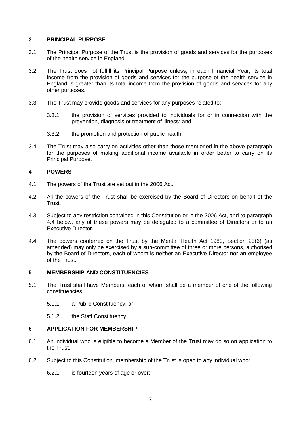# <span id="page-6-0"></span>**3 PRINCIPAL PURPOSE**

- 3.1 The Principal Purpose of the Trust is the provision of goods and services for the purposes of the health service in England.
- 3.2 The Trust does not fulfill its Principal Purpose unless, in each Financial Year, its total income from the provision of goods and services for the purpose of the health service in England is greater than its total income from the provision of goods and services for any other purposes.
- 3.3 The Trust may provide goods and services for any purposes related to:
	- 3.3.1 the provision of services provided to individuals for or in connection with the prevention, diagnosis or treatment of illness; and
	- 3.3.2 the promotion and protection of public health.
- 3.4 The Trust may also carry on activities other than those mentioned in the above paragraph for the purposes of making additional income available in order better to carry on its Principal Purpose.

# <span id="page-6-1"></span>**4 POWERS**

- 4.1 The powers of the Trust are set out in the 2006 Act.
- 4.2 All the powers of the Trust shall be exercised by the Board of Directors on behalf of the Trust.
- 4.3 Subject to any restriction contained in this Constitution or in the 2006 Act, and to paragraph 4.4 below, any of these powers may be delegated to a committee of Directors or to an Executive Director.
- 4.4 The powers conferred on the Trust by the Mental Health Act 1983, Section 23(6) (as amended) may only be exercised by a sub-committee of three or more persons, authorised by the Board of Directors, each of whom is neither an Executive Director nor an employee of the Trust.

# <span id="page-6-2"></span>**5 MEMBERSHIP AND CONSTITUENCIES**

- 5.1 The Trust shall have Members, each of whom shall be a member of one of the following constituencies:
	- 5.1.1 a Public Constituency; or
	- 5.1.2 the Staff Constituency.

# <span id="page-6-3"></span>**6 APPLICATION FOR MEMBERSHIP**

- 6.1 An individual who is eligible to become a Member of the Trust may do so on application to the Trust.
- 6.2 Subject to this Constitution, membership of the Trust is open to any individual who:
	- 6.2.1 is fourteen years of age or over;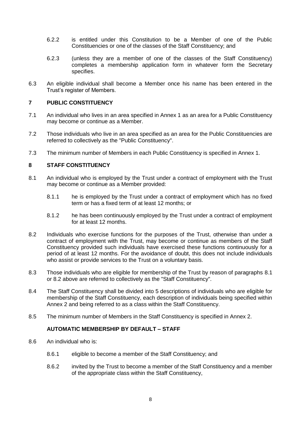- 6.2.2 is entitled under this Constitution to be a Member of one of the Public Constituencies or one of the classes of the Staff Constituency; and
- 6.2.3 (unless they are a member of one of the classes of the Staff Constituency) completes a membership application form in whatever form the Secretary specifies.
- 6.3 An eligible individual shall become a Member once his name has been entered in the Trust's register of Members.

# <span id="page-7-0"></span>**7 PUBLIC CONSTITUENCY**

- 7.1 An individual who lives in an area specified in Annex 1 as an area for a Public Constituency may become or continue as a Member.
- 7.2 Those individuals who live in an area specified as an area for the Public Constituencies are referred to collectively as the "Public Constituency".
- 7.3 The minimum number of Members in each Public Constituency is specified in Annex 1.

# <span id="page-7-1"></span>**8 STAFF CONSTITUENCY**

- 8.1 An individual who is employed by the Trust under a contract of employment with the Trust may become or continue as a Member provided:
	- 8.1.1 he is employed by the Trust under a contract of employment which has no fixed term or has a fixed term of at least 12 months; or
	- 8.1.2 he has been continuously employed by the Trust under a contract of employment for at least 12 months.
- 8.2 Individuals who exercise functions for the purposes of the Trust, otherwise than under a contract of employment with the Trust, may become or continue as members of the Staff Constituency provided such individuals have exercised these functions continuously for a period of at least 12 months. For the avoidance of doubt, this does not include individuals who assist or provide services to the Trust on a voluntary basis.
- 8.3 Those individuals who are eligible for membership of the Trust by reason of paragraphs 8.1 or 8.2 above are referred to collectively as the "Staff Constituency".
- 8.4 The Staff Constituency shall be divided into 5 descriptions of individuals who are eligible for membership of the Staff Constituency, each description of individuals being specified within Annex 2 and being referred to as a class within the Staff Constituency.
- 8.5 The minimum number of Members in the Staff Constituency is specified in Annex 2.

# **AUTOMATIC MEMBERSHIP BY DEFAULT – STAFF**

- <span id="page-7-2"></span>8.6 An individual who is:
	- 8.6.1 eligible to become a member of the Staff Constituency; and
	- 8.6.2 invited by the Trust to become a member of the Staff Constituency and a member of the appropriate class within the Staff Constituency,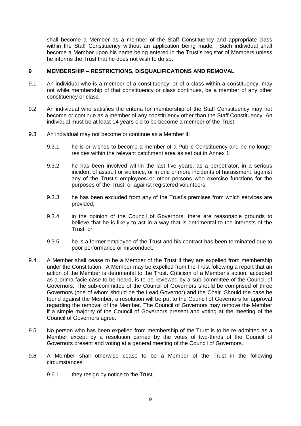shall become a Member as a member of the Staff Constituency and appropriate class within the Staff Constituency without an application being made. Such individual shall become a Member upon his name being entered in the Trust's register of Members unless he informs the Trust that he does not wish to do so.

## <span id="page-8-0"></span>**9 MEMBERSHIP – RESTRICTIONS, DISQUALIFICATIONS AND REMOVAL**

- 9.1 An individual who is a member of a constituency, or of a class within a constituency, may not while membership of that constituency or class continues, be a member of any other constituency or class.
- 9.2 An individual who satisfies the criteria for membership of the Staff Constituency may not become or continue as a member of any constituency other than the Staff Constituency. An individual must be at least 14 years old to be become a member of the Trust.
- 9.3 An individual may not become or continue as a Member if:
	- 9.3.1 he is or wishes to become a member of a Public Constituency and he no longer resides within the relevant catchment area as set out in Annex 1;
	- 9.3.2 he has been involved within the last five years, as a perpetrator, in a serious incident of assault or violence, or in one or more incidents of harassment, against any of the Trust's employees or other persons who exercise functions for the purposes of the Trust, or against registered volunteers;
	- 9.3.3 he has been excluded from any of the Trust's premises from which services are provided;
	- 9.3.4 in the opinion of the Council of Governors, there are reasonable grounds to believe that he is likely to act in a way that is detrimental to the interests of the Trust; or
	- 9.3.5 he is a former employee of the Trust and his contract has been terminated due to poor performance or misconduct.
- 9.4 A Member shall cease to be a Member of the Trust if they are expelled from membership under the Constitution. A Member may be expelled from the Trust following a report that an action of the Member is detrimental to the Trust. Criticism of a Member's action, accepted as a prima facie case to be heard, is to be reviewed by a sub-committee of the Council of Governors. The sub-committee of the Council of Governors should be comprised of three Governors (one of whom should be the Lead Governor) and the Chair. Should the case be found against the Member, a resolution will be put to the Council of Governors for approval regarding the removal of the Member. The Council of Governors may remove the Member if a simple majority of the Council of Governors present and voting at the meeting of the Council of Governors agree.
- 9.5 No person who has been expelled from membership of the Trust is to be re-admitted as a Member except by a resolution carried by the votes of two-thirds of the Council of Governors present and voting at a general meeting of the Council of Governors.
- 9.6 A Member shall otherwise cease to be a Member of the Trust in the following circumstances:
	- 9.6.1 they resign by notice to the Trust;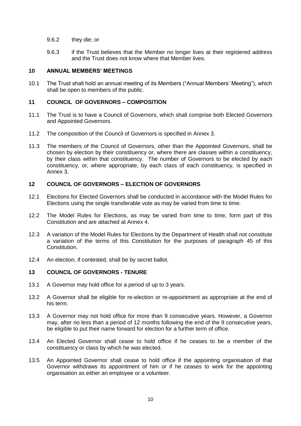- 9.6.2 they die; or
- 9.6.3 if the Trust believes that the Member no longer lives at their registered address and the Trust does not know where that Member lives.

# <span id="page-9-0"></span>**10 ANNUAL MEMBERS' MEETINGS**

10.1 The Trust shall hold an annual meeting of its Members ("Annual Members' Meeting"), which shall be open to members of the public.

# <span id="page-9-1"></span>**11 COUNCIL OF GOVERNORS – COMPOSITION**

- 11.1 The Trust is to have a Council of Governors, which shall comprise both Elected Governors and Appointed Governors.
- 11.2 The composition of the Council of Governors is specified in Annex 3.
- 11.3 The members of the Council of Governors, other than the Appointed Governors, shall be chosen by election by their constituency or, where there are classes within a constituency, by their class within that constituency. The number of Governors to be elected by each constituency, or, where appropriate, by each class of each constituency, is specified in Annex 3.

# <span id="page-9-2"></span>**12 COUNCIL OF GOVERNORS – ELECTION OF GOVERNORS**

- 12.1 Elections for Elected Governors shall be conducted in accordance with the Model Rules for Elections using the single transferable vote as may be varied from time to time.
- 12.2 The Model Rules for Elections, as may be varied from time to time, form part of this Constitution and are attached at Annex 4.
- 12.3 A variation of the Model Rules for Elections by the Department of Health shall not constitute a variation of the terms of this Constitution for the purposes of paragraph 45 of this Constitution.
- 12.4 An election, if contested, shall be by secret ballot.

# <span id="page-9-3"></span>**13 COUNCIL OF GOVERNORS - TENURE**

- 13.1 A Governor may hold office for a period of up to 3 years.
- 13.2 A Governor shall be eligible for re-election or re-appointment as appropriate at the end of his term.
- 13.3 A Governor may not hold office for more than 9 consecutive years. However, a Governor may, after no less than a period of 12 months following the end of the 9 consecutive years, be eligible to put their name forward for election for a further term of office.
- 13.4 An Elected Governor shall cease to hold office if he ceases to be a member of the constituency or class by which he was elected.
- 13.5 An Appointed Governor shall cease to hold office if the appointing organisation of that Governor withdraws its appointment of him or if he ceases to work for the appointing organisation as either an employee or a volunteer.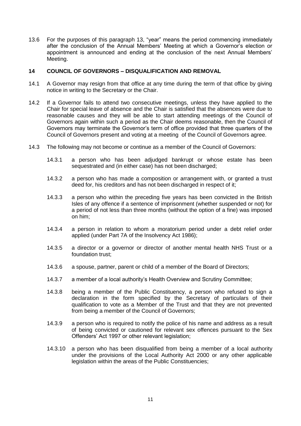13.6 For the purposes of this paragraph 13, "year" means the period commencing immediately after the conclusion of the Annual Members' Meeting at which a Governor's election or appointment is announced and ending at the conclusion of the next Annual Members' Meeting.

## <span id="page-10-0"></span>**14 COUNCIL OF GOVERNORS – DISQUALIFICATION AND REMOVAL**

- 14.1 A Governor may resign from that office at any time during the term of that office by giving notice in writing to the Secretary or the Chair.
- 14.2 If a Governor fails to attend two consecutive meetings, unless they have applied to the Chair for special leave of absence and the Chair is satisfied that the absences were due to reasonable causes and they will be able to start attending meetings of the Council of Governors again within such a period as the Chair deems reasonable, then the Council of Governors may terminate the Governor's term of office provided that three quarters of the Council of Governors present and voting at a meeting of the Council of Governors agree.
- 14.3 The following may not become or continue as a member of the Council of Governors:
	- 14.3.1 a person who has been adjudged bankrupt or whose estate has been sequestrated and (in either case) has not been discharged;
	- 14.3.2 a person who has made a composition or arrangement with, or granted a trust deed for, his creditors and has not been discharged in respect of it;
	- 14.3.3 a person who within the preceding five years has been convicted in the British Isles of any offence if a sentence of imprisonment (whether suspended or not) for a period of not less than three months (without the option of a fine) was imposed on him;
	- 14.3.4 a person in relation to whom a moratorium period under a debt relief order applied (under Part 7A of the Insolvency Act 1986);
	- 14.3.5 a director or a governor or director of another mental health NHS Trust or a foundation trust;
	- 14.3.6 a spouse, partner, parent or child of a member of the Board of Directors;
	- 14.3.7 a member of a local authority's Health Overview and Scrutiny Committee;
	- 14.3.8 being a member of the Public Constituency, a person who refused to sign a declaration in the form specified by the Secretary of particulars of their qualification to vote as a Member of the Trust and that they are not prevented from being a member of the Council of Governors;
	- 14.3.9 a person who is required to notify the police of his name and address as a result of being convicted or cautioned for relevant sex offences pursuant to the Sex Offenders' Act 1997 or other relevant legislation;
	- 14.3.10 a person who has been disqualified from being a member of a local authority under the provisions of the Local Authority Act 2000 or any other applicable legislation within the areas of the Public Constituencies;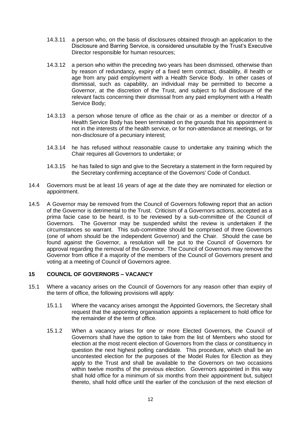- 14.3.11 a person who, on the basis of disclosures obtained through an application to the Disclosure and Barring Service, is considered unsuitable by the Trust's Executive Director responsible for human resources;
- 14.3.12 a person who within the preceding two years has been dismissed, otherwise than by reason of redundancy, expiry of a fixed term contract, disability, ill health or age from any paid employment with a Health Service Body. In other cases of dismissal, such as capability, an individual may be permitted to become a Governor, at the discretion of the Trust, and subject to full disclosure of the relevant facts concerning their dismissal from any paid employment with a Health Service Body;
- 14.3.13 a person whose tenure of office as the chair or as a member or director of a Health Service Body has been terminated on the grounds that his appointment is not in the interests of the health service, or for non-attendance at meetings, or for non-disclosure of a pecuniary interest;
- 14.3.14 he has refused without reasonable cause to undertake any training which the Chair requires all Governors to undertake; or
- 14.3.15 he has failed to sign and give to the Secretary a statement in the form required by the Secretary confirming acceptance of the Governors' Code of Conduct.
- 14.4 Governors must be at least 16 years of age at the date they are nominated for election or appointment.
- 14.5 A Governor may be removed from the Council of Governors following report that an action of the Governor is detrimental to the Trust. Criticism of a Governors actions, accepted as a prima facie case to be heard, is to be reviewed by a sub-committee of the Council of Governors. The Governor may be suspended whilst the review is undertaken if the circumstances so warrant. This sub-committee should be comprised of three Governors (one of whom should be the independent Governor) and the Chair. Should the case be found against the Governor, a resolution will be put to the Council of Governors for approval regarding the removal of the Governor. The Council of Governors may remove the Governor from office if a majority of the members of the Council of Governors present and voting at a meeting of Council of Governors agree.

# <span id="page-11-0"></span>**15 COUNCIL OF GOVERNORS – VACANCY**

- 15.1 Where a vacancy arises on the Council of Governors for any reason other than expiry of the term of office, the following provisions will apply:
	- 15.1.1 Where the vacancy arises amongst the Appointed Governors, the Secretary shall request that the appointing organisation appoints a replacement to hold office for the remainder of the term of office.
	- 15.1.2 When a vacancy arises for one or more Elected Governors, the Council of Governors shall have the option to take from the list of Members who stood for election at the most recent election of Governors from the class or constituency in question the next highest polling candidate. This procedure, which shall be an uncontested election for the purposes of the Model Rules for Election as they apply to the Trust and shall be available to the Governors on two occasions within twelve months of the previous election. Governors appointed in this way shall hold office for a minimum of six months from their appointment but, subject thereto, shall hold office until the earlier of the conclusion of the next election of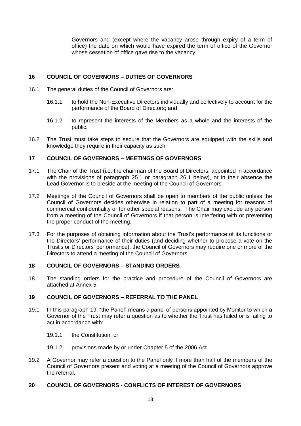Governors and (except where the vacancy arose through expiry of a term of office) the date on which would have expired the term of office of the Governor whose cessation of office gave rise to the vacancy.

# <span id="page-12-0"></span>**16 COUNCIL OF GOVERNORS – DUTIES OF GOVERNORS**

- 16.1 The general duties of the Council of Governors are:
	- 16.1.1 to hold the Non-Executive Directors individually and collectively to account for the performance of the Board of Directors; and
	- 16.1.2 to represent the interests of the Members as a whole and the interests of the public.
- 16.2 The Trust must take steps to secure that the Governors are equipped with the skills and knowledge they require in their capacity as such.

# <span id="page-12-1"></span>**17 COUNCIL OF GOVERNORS – MEETINGS OF GOVERNORS**

- 17.1 The Chair of the Trust (i.e. the chairman of the Board of Directors, appointed in accordance with the provisions of paragraph 25.1 or paragraph 26.1 below), or in their absence the Lead Governor is to preside at the meeting of the Council of Governors.
- 17.2 Meetings of the Council of Governors shall be open to members of the public unless the Council of Governors decides otherwise in relation to part of a meeting for reasons of commercial confidentiality or for other special reasons. The Chair may exclude any person from a meeting of the Council of Governors if that person is interfering with or preventing the proper conduct of the meeting.
- 17.3 For the purposes of obtaining information about the Trust's performance of its functions or the Directors' performance of their duties (and deciding whether to propose a vote on the Trust's or Directors' performance), the Council of Governors may require one or more of the Directors to attend a meeting of the Council of Governors.

# <span id="page-12-2"></span>**18 COUNCIL OF GOVERNORS – STANDING ORDERS**

18.1 The standing orders for the practice and procedure of the Council of Governors are attached at Annex 5.

# <span id="page-12-3"></span>**19 COUNCIL OF GOVERNORS – REFERRAL TO THE PANEL**

- 19.1 In this paragraph 19, "the Panel" means a panel of persons appointed by Monitor to which a Governor of the Trust may refer a question as to whether the Trust has failed or is failing to act in accordance with:
	- 19.1.1 the Constitution; or
	- 19.1.2 provisions made by or under Chapter 5 of the 2006 Act.
- 19.2 A Governor may refer a question to the Panel only if more than half of the members of the Council of Governors present and voting at a meeting of the Council of Governors approve the referral.

# <span id="page-12-4"></span>**20 COUNCIL OF GOVERNORS - CONFLICTS OF INTEREST OF GOVERNORS**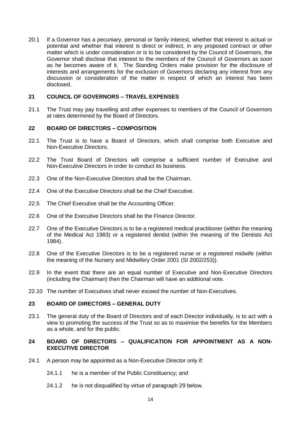20.1 If a Governor has a pecuniary, personal or family interest, whether that interest is actual or potential and whether that interest is direct or indirect, in any proposed contract or other matter which is under consideration or is to be considered by the Council of Governors, the Governor shall disclose that interest to the members of the Council of Governors as soon as he becomes aware of it. The Standing Orders make provision for the disclosure of interests and arrangements for the exclusion of Governors declaring any interest from any discussion or consideration of the matter in respect of which an interest has been disclosed.

## <span id="page-13-0"></span>**21 COUNCIL OF GOVERNORS – TRAVEL EXPENSES**

21.1 The Trust may pay travelling and other expenses to members of the Council of Governors at rates determined by the Board of Directors.

## <span id="page-13-1"></span>**22 BOARD OF DIRECTORS – COMPOSITION**

- 22.1 The Trust is to have a Board of Directors, which shall comprise both Executive and Non-Executive Directors.
- 22.2 The Trust Board of Directors will comprise a sufficient number of Executive and Non-Executive Directors in order to conduct its business.
- 22.3 One of the Non-Executive Directors shall be the Chairman.
- 22.4 One of the Executive Directors shall be the Chief Executive.
- 22.5 The Chief Executive shall be the Accounting Officer.
- 22.6 One of the Executive Directors shall be the Finance Director.
- 22.7 One of the Executive Directors is to be a registered medical practitioner (within the meaning of the Medical Act 1983) or a registered dentist (within the meaning of the Dentists Act 1984).
- 22.8 One of the Executive Directors is to be a registered nurse or a registered midwife (within the meaning of the Nursery and Midwifery Order 2001 (SI 2002/253)).
- 22.9 In the event that there are an equal number of Executive and Non-Executive Directors (including the Chairman) then the Chairman will have an additional vote.
- 22.10 The number of Executives shall never exceed the number of Non-Executives.

## <span id="page-13-2"></span>**23 BOARD OF DIRECTORS – GENERAL DUTY**

23.1 The general duty of the Board of Directors and of each Director individually, is to act with a view to promoting the success of the Trust so as to maximise the benefits for the Members as a whole, and for the public.

# <span id="page-13-3"></span>**24 BOARD OF DIRECTORS – QUALIFICATION FOR APPOINTMENT AS A NON-EXECUTIVE DIRECTOR**

- 24.1 A person may be appointed as a Non-Executive Director only if:
	- 24.1.1 he is a member of the Public Constituency; and
	- 24.1.2 he is not disqualified by virtue of paragraph 29 below.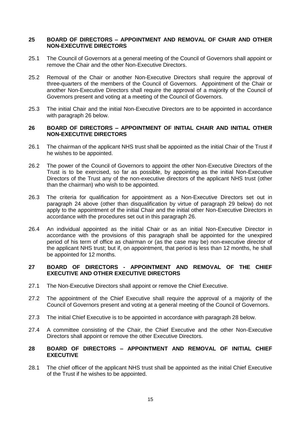## <span id="page-14-0"></span>**25 BOARD OF DIRECTORS – APPOINTMENT AND REMOVAL OF CHAIR AND OTHER NON-EXECUTIVE DIRECTORS**

- 25.1 The Council of Governors at a general meeting of the Council of Governors shall appoint or remove the Chair and the other Non-Executive Directors.
- 25.2 Removal of the Chair or another Non-Executive Directors shall require the approval of three-quarters of the members of the Council of Governors. Appointment of the Chair or another Non-Executive Directors shall require the approval of a majority of the Council of Governors present and voting at a meeting of the Council of Governors.
- 25.3 The initial Chair and the initial Non-Executive Directors are to be appointed in accordance with paragraph 26 below.

## <span id="page-14-1"></span>**26 BOARD OF DIRECTORS – APPOINTMENT OF INITIAL CHAIR AND INITIAL OTHER NON-EXECUTIVE DIRECTORS**

- 26.1 The chairman of the applicant NHS trust shall be appointed as the initial Chair of the Trust if he wishes to be appointed.
- 26.2 The power of the Council of Governors to appoint the other Non-Executive Directors of the Trust is to be exercised, so far as possible, by appointing as the initial Non-Executive Directors of the Trust any of the non-executive directors of the applicant NHS trust (other than the chairman) who wish to be appointed.
- 26.3 The criteria for qualification for appointment as a Non-Executive Directors set out in paragraph 24 above (other than disqualification by virtue of paragraph 29 below) do not apply to the appointment of the initial Chair and the initial other Non-Executive Directors in accordance with the procedures set out in this paragraph 26.
- 26.4 An individual appointed as the initial Chair or as an initial Non-Executive Director in accordance with the provisions of this paragraph shall be appointed for the unexpired period of his term of office as chairman or (as the case may be) non-executive director of the applicant NHS trust; but if, on appointment, that period is less than 12 months, he shall be appointed for 12 months.

# <span id="page-14-2"></span>**27 BOARD OF DIRECTORS - APPOINTMENT AND REMOVAL OF THE CHIEF EXECUTIVE AND OTHER EXECUTIVE DIRECTORS**

- 27.1 The Non-Executive Directors shall appoint or remove the Chief Executive.
- 27.2 The appointment of the Chief Executive shall require the approval of a majority of the Council of Governors present and voting at a general meeting of the Council of Governors.
- 27.3 The initial Chief Executive is to be appointed in accordance with paragraph 28 below.
- 27.4 A committee consisting of the Chair, the Chief Executive and the other Non-Executive Directors shall appoint or remove the other Executive Directors.

# <span id="page-14-3"></span>**28 BOARD OF DIRECTORS – APPOINTMENT AND REMOVAL OF INITIAL CHIEF EXECUTIVE**

28.1 The chief officer of the applicant NHS trust shall be appointed as the initial Chief Executive of the Trust if he wishes to be appointed.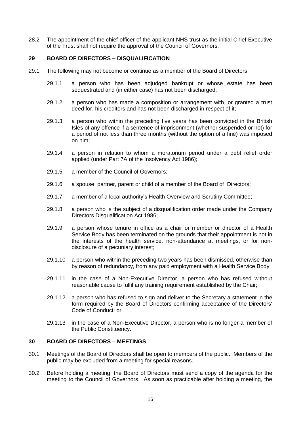28.2 The appointment of the chief officer of the applicant NHS trust as the initial Chief Executive of the Trust shall not require the approval of the Council of Governors.

# <span id="page-15-0"></span>**29 BOARD OF DIRECTORS – DISQUALIFICATION**

- 29.1 The following may not become or continue as a member of the Board of Directors:
	- 29.1.1 a person who has been adjudged bankrupt or whose estate has been sequestrated and (in either case) has not been discharged;
	- 29.1.2 a person who has made a composition or arrangement with, or granted a trust deed for, his creditors and has not been discharged in respect of it;
	- 29.1.3 a person who within the preceding five years has been convicted in the British Isles of any offence if a sentence of imprisonment (whether suspended or not) for a period of not less than three months (without the option of a fine) was imposed on him;
	- 29.1.4 a person in relation to whom a moratorium period under a debt relief order applied (under Part 7A of the Insolvency Act 1986);
	- 29.1.5 a member of the Council of Governors;
	- 29.1.6 a spouse, partner, parent or child of a member of the Board of Directors;
	- 29.1.7 a member of a local authority's Health Overview and Scrutiny Committee;
	- 29.1.8 a person who is the subject of a disqualification order made under the Company Directors Disqualification Act 1986;
	- 29.1.9 a person whose tenure in office as a chair or member or director of a Health Service Body has been terminated on the grounds that their appointment is not in the interests of the health service, non-attendance at meetings, or for nondisclosure of a pecuniary interest;
	- 29.1.10 a person who within the preceding two years has been dismissed, otherwise than by reason of redundancy, from any paid employment with a Health Service Body;
	- 29.1.11 in the case of a Non-Executive Director, a person who has refused without reasonable cause to fulfil any training requirement established by the Chair;
	- 29.1.12 a person who has refused to sign and deliver to the Secretary a statement in the form required by the Board of Directors confirming acceptance of the Directors' Code of Conduct; or
	- 29.1.13 in the case of a Non-Executive Director, a person who is no longer a member of the Public Constituency.

## <span id="page-15-1"></span>**30 BOARD OF DIRECTORS – MEETINGS**

- 30.1 Meetings of the Board of Directors shall be open to members of the public. Members of the public may be excluded from a meeting for special reasons.
- 30.2 Before holding a meeting, the Board of Directors must send a copy of the agenda for the meeting to the Council of Governors. As soon as practicable after holding a meeting, the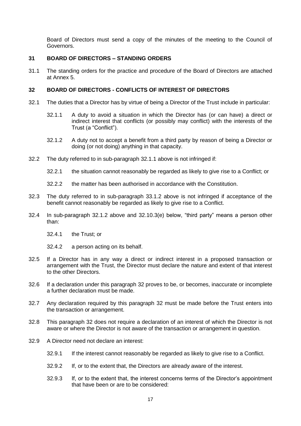Board of Directors must send a copy of the minutes of the meeting to the Council of Governors.

# <span id="page-16-0"></span>**31 BOARD OF DIRECTORS – STANDING ORDERS**

31.1 The standing orders for the practice and procedure of the Board of Directors are attached at Annex 5.

## <span id="page-16-1"></span>**32 BOARD OF DIRECTORS - CONFLICTS OF INTEREST OF DIRECTORS**

- 32.1 The duties that a Director has by virtue of being a Director of the Trust include in particular:
	- 32.1.1 A duty to avoid a situation in which the Director has (or can have) a direct or indirect interest that conflicts (or possibly may conflict) with the interests of the Trust (a "Conflict").
	- 32.1.2 A duty not to accept a benefit from a third party by reason of being a Director or doing (or not doing) anything in that capacity.
- 32.2 The duty referred to in sub-paragraph 32.1.1 above is not infringed if:
	- 32.2.1 the situation cannot reasonably be regarded as likely to give rise to a Conflict; or
	- 32.2.2 the matter has been authorised in accordance with the Constitution.
- 32.3 The duty referred to in sub-paragraph 33.1.2 above is not infringed if acceptance of the benefit cannot reasonably be regarded as likely to give rise to a Conflict.
- 32.4 In sub-paragraph 32.1.2 above and 32.10.3(e) below, "third party" means a person other than:
	- 32.4.1 the Trust; or
	- 32.4.2 a person acting on its behalf.
- 32.5 If a Director has in any way a direct or indirect interest in a proposed transaction or arrangement with the Trust, the Director must declare the nature and extent of that interest to the other Directors.
- 32.6 If a declaration under this paragraph 32 proves to be, or becomes, inaccurate or incomplete a further declaration must be made.
- 32.7 Any declaration required by this paragraph 32 must be made before the Trust enters into the transaction or arrangement.
- 32.8 This paragraph 32 does not require a declaration of an interest of which the Director is not aware or where the Director is not aware of the transaction or arrangement in question.
- 32.9 A Director need not declare an interest:
	- 32.9.1 If the interest cannot reasonably be regarded as likely to give rise to a Conflict.
	- 32.9.2 If, or to the extent that, the Directors are already aware of the interest.
	- 32.9.3 If, or to the extent that, the interest concerns terms of the Director's appointment that have been or are to be considered: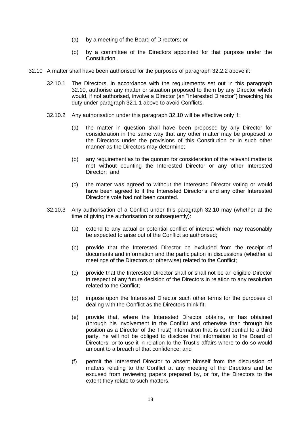- (a) by a meeting of the Board of Directors; or
- (b) by a committee of the Directors appointed for that purpose under the Constitution.
- 32.10 A matter shall have been authorised for the purposes of paragraph 32.2.2 above if:
	- 32.10.1 The Directors, in accordance with the requirements set out in this paragraph 32.10, authorise any matter or situation proposed to them by any Director which would, if not authorised, involve a Director (an "Interested Director") breaching his duty under paragraph 32.1.1 above to avoid Conflicts.
	- 32.10.2 Any authorisation under this paragraph 32.10 will be effective only if:
		- (a) the matter in question shall have been proposed by any Director for consideration in the same way that any other matter may be proposed to the Directors under the provisions of this Constitution or in such other manner as the Directors may determine;
		- (b) any requirement as to the quorum for consideration of the relevant matter is met without counting the Interested Director or any other Interested Director; and
		- (c) the matter was agreed to without the Interested Director voting or would have been agreed to if the Interested Director's and any other Interested Director's vote had not been counted.
	- 32.10.3 Any authorisation of a Conflict under this paragraph 32.10 may (whether at the time of giving the authorisation or subsequently):
		- (a) extend to any actual or potential conflict of interest which may reasonably be expected to arise out of the Conflict so authorised;
		- (b) provide that the Interested Director be excluded from the receipt of documents and information and the participation in discussions (whether at meetings of the Directors or otherwise) related to the Conflict;
		- (c) provide that the Interested Director shall or shall not be an eligible Director in respect of any future decision of the Directors in relation to any resolution related to the Conflict;
		- (d) impose upon the Interested Director such other terms for the purposes of dealing with the Conflict as the Directors think fit;
		- (e) provide that, where the Interested Director obtains, or has obtained (through his involvement in the Conflict and otherwise than through his position as a Director of the Trust) information that is confidential to a third party, he will not be obliged to disclose that information to the Board of Directors, or to use it in relation to the Trust's affairs where to do so would amount to a breach of that confidence; and
		- (f) permit the Interested Director to absent himself from the discussion of matters relating to the Conflict at any meeting of the Directors and be excused from reviewing papers prepared by, or for, the Directors to the extent they relate to such matters.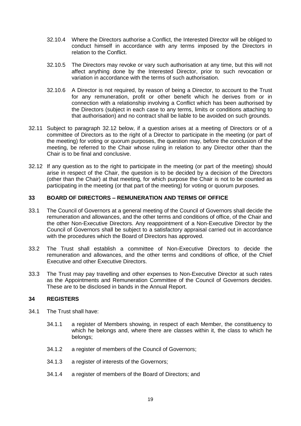- 32.10.4 Where the Directors authorise a Conflict, the Interested Director will be obliged to conduct himself in accordance with any terms imposed by the Directors in relation to the Conflict.
- 32.10.5 The Directors may revoke or vary such authorisation at any time, but this will not affect anything done by the Interested Director, prior to such revocation or variation in accordance with the terms of such authorisation.
- 32.10.6 A Director is not required, by reason of being a Director, to account to the Trust for any remuneration, profit or other benefit which he derives from or in connection with a relationship involving a Conflict which has been authorised by the Directors (subject in each case to any terms, limits or conditions attaching to that authorisation) and no contract shall be liable to be avoided on such grounds.
- 32.11 Subject to paragraph 32.12 below, if a question arises at a meeting of Directors or of a committee of Directors as to the right of a Director to participate in the meeting (or part of the meeting) for voting or quorum purposes, the question may, before the conclusion of the meeting, be referred to the Chair whose ruling in relation to any Director other than the Chair is to be final and conclusive.
- 32.12 If any question as to the right to participate in the meeting (or part of the meeting) should arise in respect of the Chair, the question is to be decided by a decision of the Directors (other than the Chair) at that meeting, for which purpose the Chair is not to be counted as participating in the meeting (or that part of the meeting) for voting or quorum purposes.

# <span id="page-18-0"></span>**33 BOARD OF DIRECTORS – REMUNERATION AND TERMS OF OFFICE**

- 33.1 The Council of Governors at a general meeting of the Council of Governors shall decide the remuneration and allowances, and the other terms and conditions of office, of the Chair and the other Non-Executive Directors. Any reappointment of a Non-Executive Director by the Council of Governors shall be subject to a satisfactory appraisal carried out in accordance with the procedures which the Board of Directors has approved.
- 33.2 The Trust shall establish a committee of Non-Executive Directors to decide the remuneration and allowances, and the other terms and conditions of office, of the Chief Executive and other Executive Directors.
- 33.3 The Trust may pay travelling and other expenses to Non-Executive Director at such rates as the Appointments and Remuneration Committee of the Council of Governors decides. These are to be disclosed in bands in the Annual Report.

# <span id="page-18-1"></span>**34 REGISTERS**

- 34.1 The Trust shall have:
	- 34.1.1 a register of Members showing, in respect of each Member, the constituency to which he belongs and, where there are classes within it, the class to which he belongs;
	- 34.1.2 a register of members of the Council of Governors;
	- 34.1.3 a register of interests of the Governors;
	- 34.1.4 a register of members of the Board of Directors; and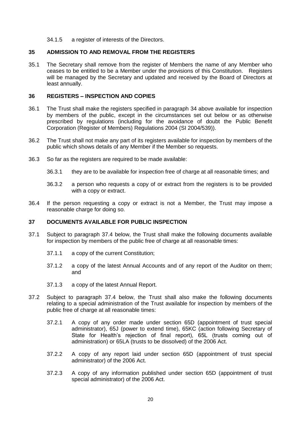34.1.5 a register of interests of the Directors.

#### <span id="page-19-0"></span>**35 ADMISSION TO AND REMOVAL FROM THE REGISTERS**

35.1 The Secretary shall remove from the register of Members the name of any Member who ceases to be entitled to be a Member under the provisions of this Constitution. Registers will be managed by the Secretary and updated and received by the Board of Directors at least annually.

#### <span id="page-19-1"></span>**36 REGISTERS – INSPECTION AND COPIES**

- 36.1 The Trust shall make the registers specified in paragraph 34 above available for inspection by members of the public, except in the circumstances set out below or as otherwise prescribed by regulations (including for the avoidance of doubt the Public Benefit Corporation (Register of Members) Regulations 2004 (SI 2004/539)).
- 36.2 The Trust shall not make any part of its registers available for inspection by members of the public which shows details of any Member if the Member so requests.
- 36.3 So far as the registers are required to be made available:
	- 36.3.1 they are to be available for inspection free of charge at all reasonable times; and
	- 36.3.2 a person who requests a copy of or extract from the registers is to be provided with a copy or extract.
- 36.4 If the person requesting a copy or extract is not a Member, the Trust may impose a reasonable charge for doing so.

#### <span id="page-19-2"></span>**37 DOCUMENTS AVAILABLE FOR PUBLIC INSPECTION**

- 37.1 Subject to paragraph 37.4 below, the Trust shall make the following documents available for inspection by members of the public free of charge at all reasonable times:
	- 37.1.1 a copy of the current Constitution;
	- 37.1.2 a copy of the latest Annual Accounts and of any report of the Auditor on them; and
	- 37.1.3 a copy of the latest Annual Report.
- 37.2 Subject to paragraph 37.4 below, the Trust shall also make the following documents relating to a special administration of the Trust available for inspection by members of the public free of charge at all reasonable times:
	- 37.2.1 A copy of any order made under section 65D (appointment of trust special administrator), 65J (power to extend time), 65KC (action following Secretary of State for Health's rejection of final report), 65L (trusts coming out of administration) or 65LA (trusts to be dissolved) of the 2006 Act.
	- 37.2.2 A copy of any report laid under section 65D (appointment of trust special administrator) of the 2006 Act.
	- 37.2.3 A copy of any information published under section 65D (appointment of trust special administrator) of the 2006 Act.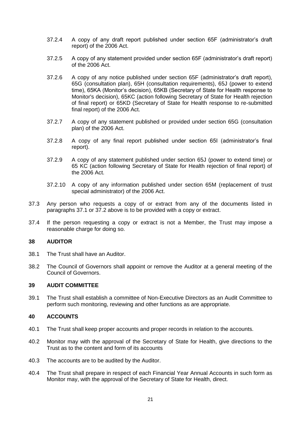- 37.2.4 A copy of any draft report published under section 65F (administrator's draft report) of the 2006 Act.
- 37.2.5 A copy of any statement provided under section 65F (administrator's draft report) of the 2006 Act.
- 37.2.6 A copy of any notice published under section 65F (administrator's draft report), 65G (consultation plan), 65H (consultation requirements), 65J (power to extend time), 65KA (Monitor's decision), 65KB (Secretary of State for Health response to Monitor's decision), 65KC (action following Secretary of State for Health rejection of final report) or 65KD (Secretary of State for Health response to re-submitted final report) of the 2006 Act.
- 37.2.7 A copy of any statement published or provided under section 65G (consultation plan) of the 2006 Act.
- 37.2.8 A copy of any final report published under section 65I (administrator's final report).
- 37.2.9 A copy of any statement published under section 65J (power to extend time) or 65 KC (action following Secretary of State for Health rejection of final report) of the 2006 Act.
- 37.2.10 A copy of any information published under section 65M (replacement of trust special administrator) of the 2006 Act.
- 37.3 Any person who requests a copy of or extract from any of the documents listed in paragraphs 37.1 or 37.2 above is to be provided with a copy or extract.
- 37.4 If the person requesting a copy or extract is not a Member, the Trust may impose a reasonable charge for doing so.

## <span id="page-20-0"></span>**38 AUDITOR**

- 38.1 The Trust shall have an Auditor.
- 38.2 The Council of Governors shall appoint or remove the Auditor at a general meeting of the Council of Governors.

## <span id="page-20-1"></span>**39 AUDIT COMMITTEE**

39.1 The Trust shall establish a committee of Non-Executive Directors as an Audit Committee to perform such monitoring, reviewing and other functions as are appropriate.

# <span id="page-20-2"></span>**40 ACCOUNTS**

- 40.1 The Trust shall keep proper accounts and proper records in relation to the accounts.
- 40.2 Monitor may with the approval of the Secretary of State for Health, give directions to the Trust as to the content and form of its accounts
- 40.3 The accounts are to be audited by the Auditor.
- 40.4 The Trust shall prepare in respect of each Financial Year Annual Accounts in such form as Monitor may, with the approval of the Secretary of State for Health, direct.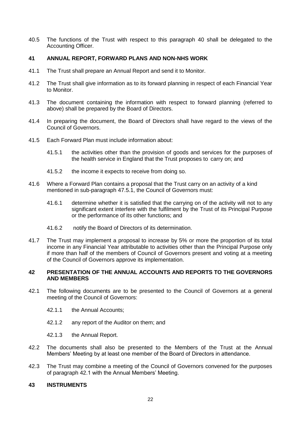40.5 The functions of the Trust with respect to this paragraph 40 shall be delegated to the Accounting Officer.

# <span id="page-21-0"></span>**41 ANNUAL REPORT, FORWARD PLANS AND NON-NHS WORK**

- 41.1 The Trust shall prepare an Annual Report and send it to Monitor.
- 41.2 The Trust shall give information as to its forward planning in respect of each Financial Year to Monitor.
- 41.3 The document containing the information with respect to forward planning (referred to above) shall be prepared by the Board of Directors.
- 41.4 In preparing the document, the Board of Directors shall have regard to the views of the Council of Governors.
- 41.5 Each Forward Plan must include information about:
	- 41.5.1 the activities other than the provision of goods and services for the purposes of the health service in England that the Trust proposes to carry on; and
	- 41.5.2 the income it expects to receive from doing so.
- 41.6 Where a Forward Plan contains a proposal that the Trust carry on an activity of a kind mentioned in sub-paragraph 47.5.1, the Council of Governors must:
	- 41.6.1 determine whether it is satisfied that the carrying on of the activity will not to any significant extent interfere with the fulfilment by the Trust of its Principal Purpose or the performance of its other functions; and
	- 41.6.2 notify the Board of Directors of its determination.
- 41.7 The Trust may implement a proposal to increase by 5% or more the proportion of its total income in any Financial Year attributable to activities other than the Principal Purpose only if more than half of the members of Council of Governors present and voting at a meeting of the Council of Governors approve its implementation.

## <span id="page-21-1"></span>**42 PRESENTATION OF THE ANNUAL ACCOUNTS AND REPORTS TO THE GOVERNORS AND MEMBERS**

- 42.1 The following documents are to be presented to the Council of Governors at a general meeting of the Council of Governors:
	- 42.1.1 the Annual Accounts;
	- 42.1.2 any report of the Auditor on them; and
	- 42.1.3 the Annual Report.
- 42.2 The documents shall also be presented to the Members of the Trust at the Annual Members' Meeting by at least one member of the Board of Directors in attendance.
- 42.3 The Trust may combine a meeting of the Council of Governors convened for the purposes of paragraph 42.1 with the Annual Members' Meeting.

## <span id="page-21-2"></span>**43 INSTRUMENTS**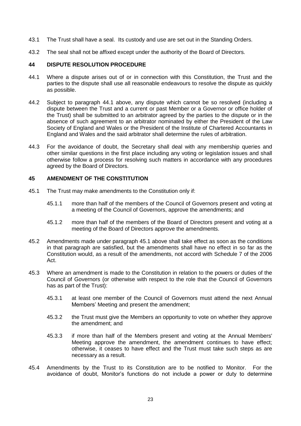- 43.1 The Trust shall have a seal. Its custody and use are set out in the Standing Orders.
- 43.2 The seal shall not be affixed except under the authority of the Board of Directors.

## <span id="page-22-0"></span>**44 DISPUTE RESOLUTION PROCEDURE**

- 44.1 Where a dispute arises out of or in connection with this Constitution, the Trust and the parties to the dispute shall use all reasonable endeavours to resolve the dispute as quickly as possible.
- 44.2 Subject to paragraph 44.1 above, any dispute which cannot be so resolved (including a dispute between the Trust and a current or past Member or a Governor or office holder of the Trust) shall be submitted to an arbitrator agreed by the parties to the dispute or in the absence of such agreement to an arbitrator nominated by either the President of the Law Society of England and Wales or the President of the Institute of Chartered Accountants in England and Wales and the said arbitrator shall determine the rules of arbitration.
- 44.3 For the avoidance of doubt, the Secretary shall deal with any membership queries and other similar questions in the first place including any voting or legislation issues and shall otherwise follow a process for resolving such matters in accordance with any procedures agreed by the Board of Directors.

## <span id="page-22-1"></span>**45 AMENDMENT OF THE CONSTITUTION**

- 45.1 The Trust may make amendments to the Constitution only if:
	- 45.1.1 more than half of the members of the Council of Governors present and voting at a meeting of the Council of Governors, approve the amendments; and
	- 45.1.2 more than half of the members of the Board of Directors present and voting at a meeting of the Board of Directors approve the amendments.
- 45.2 Amendments made under paragraph 45.1 above shall take effect as soon as the conditions in that paragraph are satisfied, but the amendments shall have no effect in so far as the Constitution would, as a result of the amendments, not accord with Schedule 7 of the 2006 Act.
- 45.3 Where an amendment is made to the Constitution in relation to the powers or duties of the Council of Governors (or otherwise with respect to the role that the Council of Governors has as part of the Trust):
	- 45.3.1 at least one member of the Council of Governors must attend the next Annual Members' Meeting and present the amendment;
	- 45.3.2 the Trust must give the Members an opportunity to vote on whether they approve the amendment; and
	- 45.3.3 if more than half of the Members present and voting at the Annual Members' Meeting approve the amendment, the amendment continues to have effect; otherwise, it ceases to have effect and the Trust must take such steps as are necessary as a result.
- 45.4 Amendments by the Trust to its Constitution are to be notified to Monitor. For the avoidance of doubt, Monitor's functions do not include a power or duty to determine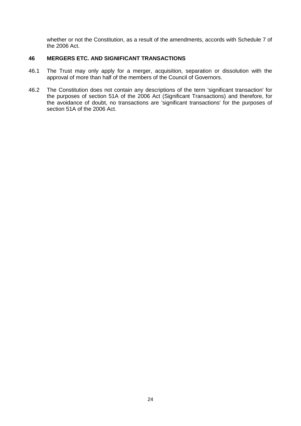whether or not the Constitution, as a result of the amendments, accords with Schedule 7 of the 2006 Act.

# <span id="page-23-0"></span>**46 MERGERS ETC. AND SIGNIFICANT TRANSACTIONS**

- 46.1 The Trust may only apply for a merger, acquisition, separation or dissolution with the approval of more than half of the members of the Council of Governors.
- 46.2 The Constitution does not contain any descriptions of the term 'significant transaction' for the purposes of section 51A of the 2006 Act (Significant Transactions) and therefore, for the avoidance of doubt, no transactions are 'significant transactions' for the purposes of section 51A of the 2006 Act.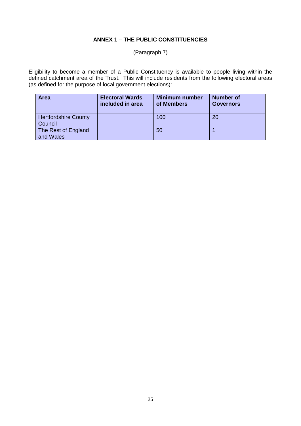# **ANNEX 1 – THE PUBLIC CONSTITUENCIES**

# (Paragraph 7)

Eligibility to become a member of a Public Constituency is available to people living within the defined catchment area of the Trust. This will include residents from the following electoral areas (as defined for the purpose of local government elections):

| <b>Area</b>                 | <b>Electoral Wards</b><br>included in area | <b>Minimum number</b><br>of Members | <b>Number of</b><br><b>Governors</b> |
|-----------------------------|--------------------------------------------|-------------------------------------|--------------------------------------|
|                             |                                            |                                     |                                      |
| <b>Hertfordshire County</b> |                                            | 100                                 | 20                                   |
| Council                     |                                            |                                     |                                      |
| The Rest of England         |                                            | 50                                  |                                      |
| and Wales                   |                                            |                                     |                                      |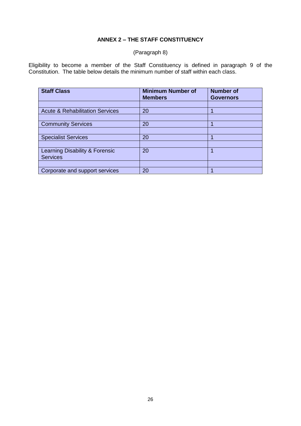# **ANNEX 2 – THE STAFF CONSTITUENCY**

# (Paragraph 8)

Eligibility to become a member of the Staff Constituency is defined in paragraph 9 of the Constitution. The table below details the minimum number of staff within each class.

| <b>Staff Class</b>                         | <b>Minimum Number of</b><br><b>Members</b> | <b>Number of</b><br><b>Governors</b> |
|--------------------------------------------|--------------------------------------------|--------------------------------------|
|                                            |                                            |                                      |
| <b>Acute &amp; Rehabilitation Services</b> | 20                                         |                                      |
|                                            |                                            |                                      |
| <b>Community Services</b>                  | 20                                         |                                      |
|                                            |                                            |                                      |
| <b>Specialist Services</b>                 | 20                                         |                                      |
|                                            |                                            |                                      |
| Learning Disability & Forensic             | 20                                         |                                      |
| <b>Services</b>                            |                                            |                                      |
|                                            |                                            |                                      |
| Corporate and support services             | 20                                         |                                      |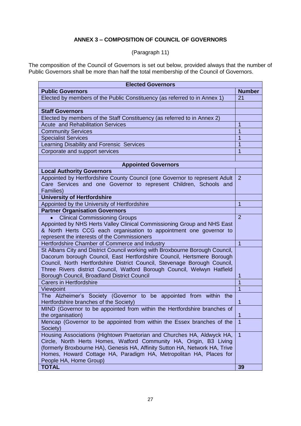# **ANNEX 3 – COMPOSITION OF COUNCIL OF GOVERNORS**

(Paragraph 11)

The composition of the Council of Governors is set out below, provided always that the number of Public Governors shall be more than half the total membership of the Council of Governors.

| <b>Elected Governors</b>                                                                                                                                                                                                                                                                                                                                                                                                                                                                                                                                                                                                                                                                                                                                                                                                                                                                                                                                                               |                                                  |  |
|----------------------------------------------------------------------------------------------------------------------------------------------------------------------------------------------------------------------------------------------------------------------------------------------------------------------------------------------------------------------------------------------------------------------------------------------------------------------------------------------------------------------------------------------------------------------------------------------------------------------------------------------------------------------------------------------------------------------------------------------------------------------------------------------------------------------------------------------------------------------------------------------------------------------------------------------------------------------------------------|--------------------------------------------------|--|
| <b>Public Governors</b>                                                                                                                                                                                                                                                                                                                                                                                                                                                                                                                                                                                                                                                                                                                                                                                                                                                                                                                                                                | <b>Number</b>                                    |  |
| Elected by members of the Public Constituency (as referred to in Annex 1)                                                                                                                                                                                                                                                                                                                                                                                                                                                                                                                                                                                                                                                                                                                                                                                                                                                                                                              | 21                                               |  |
|                                                                                                                                                                                                                                                                                                                                                                                                                                                                                                                                                                                                                                                                                                                                                                                                                                                                                                                                                                                        |                                                  |  |
| <b>Staff Governors</b>                                                                                                                                                                                                                                                                                                                                                                                                                                                                                                                                                                                                                                                                                                                                                                                                                                                                                                                                                                 |                                                  |  |
| Elected by members of the Staff Constituency (as referred to in Annex 2)                                                                                                                                                                                                                                                                                                                                                                                                                                                                                                                                                                                                                                                                                                                                                                                                                                                                                                               |                                                  |  |
| <b>Acute and Rehabilitation Services</b>                                                                                                                                                                                                                                                                                                                                                                                                                                                                                                                                                                                                                                                                                                                                                                                                                                                                                                                                               | 1                                                |  |
| <b>Community Services</b>                                                                                                                                                                                                                                                                                                                                                                                                                                                                                                                                                                                                                                                                                                                                                                                                                                                                                                                                                              | $\overline{1}$                                   |  |
| <b>Specialist Services</b>                                                                                                                                                                                                                                                                                                                                                                                                                                                                                                                                                                                                                                                                                                                                                                                                                                                                                                                                                             | 1                                                |  |
| Learning Disability and Forensic Services                                                                                                                                                                                                                                                                                                                                                                                                                                                                                                                                                                                                                                                                                                                                                                                                                                                                                                                                              | 1                                                |  |
| Corporate and support services                                                                                                                                                                                                                                                                                                                                                                                                                                                                                                                                                                                                                                                                                                                                                                                                                                                                                                                                                         | 1                                                |  |
|                                                                                                                                                                                                                                                                                                                                                                                                                                                                                                                                                                                                                                                                                                                                                                                                                                                                                                                                                                                        |                                                  |  |
| <b>Appointed Governors</b>                                                                                                                                                                                                                                                                                                                                                                                                                                                                                                                                                                                                                                                                                                                                                                                                                                                                                                                                                             |                                                  |  |
| <b>Local Authority Governors</b>                                                                                                                                                                                                                                                                                                                                                                                                                                                                                                                                                                                                                                                                                                                                                                                                                                                                                                                                                       |                                                  |  |
| Appointed by Hertfordshire County Council (one Governor to represent Adult                                                                                                                                                                                                                                                                                                                                                                                                                                                                                                                                                                                                                                                                                                                                                                                                                                                                                                             | $\overline{2}$                                   |  |
| Care Services and one Governor to represent Children, Schools and                                                                                                                                                                                                                                                                                                                                                                                                                                                                                                                                                                                                                                                                                                                                                                                                                                                                                                                      |                                                  |  |
| Families)                                                                                                                                                                                                                                                                                                                                                                                                                                                                                                                                                                                                                                                                                                                                                                                                                                                                                                                                                                              |                                                  |  |
| <b>University of Hertfordshire</b>                                                                                                                                                                                                                                                                                                                                                                                                                                                                                                                                                                                                                                                                                                                                                                                                                                                                                                                                                     |                                                  |  |
| Appointed by the University of Hertfordshire                                                                                                                                                                                                                                                                                                                                                                                                                                                                                                                                                                                                                                                                                                                                                                                                                                                                                                                                           | $\mathbf 1$                                      |  |
| <b>Partner Organisation Governors</b>                                                                                                                                                                                                                                                                                                                                                                                                                                                                                                                                                                                                                                                                                                                                                                                                                                                                                                                                                  |                                                  |  |
| <b>Clinical Commissioning Groups</b>                                                                                                                                                                                                                                                                                                                                                                                                                                                                                                                                                                                                                                                                                                                                                                                                                                                                                                                                                   | 2                                                |  |
| Appointed by NHS Herts Valley Clinical Commissioning Group and NHS East                                                                                                                                                                                                                                                                                                                                                                                                                                                                                                                                                                                                                                                                                                                                                                                                                                                                                                                |                                                  |  |
| & North Herts CCG each organisation to appointment one governor to                                                                                                                                                                                                                                                                                                                                                                                                                                                                                                                                                                                                                                                                                                                                                                                                                                                                                                                     |                                                  |  |
| represent the interests of the Commissioners                                                                                                                                                                                                                                                                                                                                                                                                                                                                                                                                                                                                                                                                                                                                                                                                                                                                                                                                           |                                                  |  |
| Hertfordshire Chamber of Commerce and Industry                                                                                                                                                                                                                                                                                                                                                                                                                                                                                                                                                                                                                                                                                                                                                                                                                                                                                                                                         | $\overline{1}$                                   |  |
|                                                                                                                                                                                                                                                                                                                                                                                                                                                                                                                                                                                                                                                                                                                                                                                                                                                                                                                                                                                        |                                                  |  |
|                                                                                                                                                                                                                                                                                                                                                                                                                                                                                                                                                                                                                                                                                                                                                                                                                                                                                                                                                                                        |                                                  |  |
|                                                                                                                                                                                                                                                                                                                                                                                                                                                                                                                                                                                                                                                                                                                                                                                                                                                                                                                                                                                        |                                                  |  |
| Three Rivers district Council, Watford Borough Council, Welwyn Hatfield                                                                                                                                                                                                                                                                                                                                                                                                                                                                                                                                                                                                                                                                                                                                                                                                                                                                                                                |                                                  |  |
|                                                                                                                                                                                                                                                                                                                                                                                                                                                                                                                                                                                                                                                                                                                                                                                                                                                                                                                                                                                        |                                                  |  |
|                                                                                                                                                                                                                                                                                                                                                                                                                                                                                                                                                                                                                                                                                                                                                                                                                                                                                                                                                                                        |                                                  |  |
|                                                                                                                                                                                                                                                                                                                                                                                                                                                                                                                                                                                                                                                                                                                                                                                                                                                                                                                                                                                        |                                                  |  |
|                                                                                                                                                                                                                                                                                                                                                                                                                                                                                                                                                                                                                                                                                                                                                                                                                                                                                                                                                                                        |                                                  |  |
|                                                                                                                                                                                                                                                                                                                                                                                                                                                                                                                                                                                                                                                                                                                                                                                                                                                                                                                                                                                        |                                                  |  |
|                                                                                                                                                                                                                                                                                                                                                                                                                                                                                                                                                                                                                                                                                                                                                                                                                                                                                                                                                                                        |                                                  |  |
|                                                                                                                                                                                                                                                                                                                                                                                                                                                                                                                                                                                                                                                                                                                                                                                                                                                                                                                                                                                        |                                                  |  |
|                                                                                                                                                                                                                                                                                                                                                                                                                                                                                                                                                                                                                                                                                                                                                                                                                                                                                                                                                                                        |                                                  |  |
|                                                                                                                                                                                                                                                                                                                                                                                                                                                                                                                                                                                                                                                                                                                                                                                                                                                                                                                                                                                        |                                                  |  |
|                                                                                                                                                                                                                                                                                                                                                                                                                                                                                                                                                                                                                                                                                                                                                                                                                                                                                                                                                                                        |                                                  |  |
|                                                                                                                                                                                                                                                                                                                                                                                                                                                                                                                                                                                                                                                                                                                                                                                                                                                                                                                                                                                        |                                                  |  |
|                                                                                                                                                                                                                                                                                                                                                                                                                                                                                                                                                                                                                                                                                                                                                                                                                                                                                                                                                                                        |                                                  |  |
|                                                                                                                                                                                                                                                                                                                                                                                                                                                                                                                                                                                                                                                                                                                                                                                                                                                                                                                                                                                        |                                                  |  |
|                                                                                                                                                                                                                                                                                                                                                                                                                                                                                                                                                                                                                                                                                                                                                                                                                                                                                                                                                                                        |                                                  |  |
| St Albans City and District Council working with Broxbourne Borough Council,<br>Dacorum borough Council, East Hertfordshire Council, Hertsmere Borough<br>Council, North Hertfordshire District Council, Stevenage Borough Council,<br>Borough Council, Broadland District Council<br><b>Carers in Hertfordshire</b><br>Viewpoint<br>The Alzheimer's Society (Governor to be appointed from within the<br>Hertfordshire branches of the Society)<br>MIND (Governor to be appointed from within the Hertfordshire branches of<br>the organisation)<br>Mencap (Governor to be appointed from within the Essex branches of the<br>Society)<br>Housing Associations (Hightown Praetorian and Churches HA, Aldwyck HA,<br>Circle, North Herts Homes, Watford Community HA, Origin, B3 Living<br>(formerly Broxbourne HA), Genesis HA, Affinity Sutton HA, Network HA, Trive<br>Homes, Howard Cottage HA, Paradigm HA, Metropolitan HA, Places for<br>People HA, Home Group)<br><b>TOTAL</b> | 1<br>1<br>$\overline{1}$<br>$\overline{1}$<br>39 |  |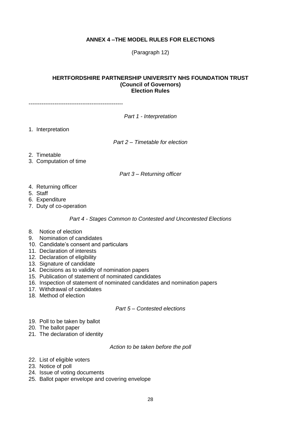# **ANNEX 4 –THE MODEL RULES FOR ELECTIONS**

(Paragraph 12)

#### **HERTFORDSHIRE PARTNERSHIP UNIVERSITY NHS FOUNDATION TRUST (Council of Governors) Election Rules**

---------------------------------------------------

*Part 1 - Interpretation*

1. Interpretation

*Part 2 – Timetable for election*

- 2. Timetable
- 3. Computation of time

*Part 3 – Returning officer*

- 4. Returning officer
- 5. Staff
- 6. Expenditure
- 7. Duty of co-operation

*Part 4 - Stages Common to Contested and Uncontested Elections*

- 8. Notice of election
- 9. Nomination of candidates
- 10. Candidate's consent and particulars
- 11. Declaration of interests
- 12. Declaration of eligibility
- 13. Signature of candidate
- 14. Decisions as to validity of nomination papers
- 15. Publication of statement of nominated candidates
- 16. Inspection of statement of nominated candidates and nomination papers
- 17. Withdrawal of candidates
- 18. Method of election

#### *Part 5 – Contested elections*

- 19. Poll to be taken by ballot
- 20. The ballot paper
- 21. The declaration of identity

*Action to be taken before the poll*

- 22. List of eligible voters
- 23. Notice of poll
- 24. Issue of voting documents
- 25. Ballot paper envelope and covering envelope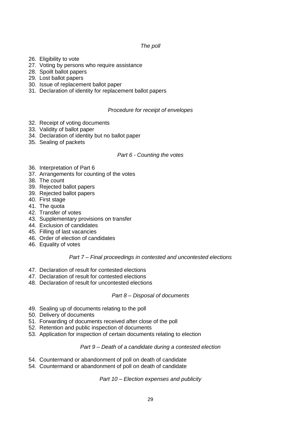# *The poll*

- 26. Eligibility to vote
- 27. Voting by persons who require assistance
- 28. Spoilt ballot papers
- 29. Lost ballot papers
- 30. Issue of replacement ballot paper
- 31. Declaration of identity for replacement ballot papers

## *Procedure for receipt of envelopes*

- 32. Receipt of voting documents
- 33. Validity of ballot paper
- 34. Declaration of identity but no ballot paper
- 35. Sealing of packets

#### *Part 6 - Counting the votes*

- 36. Interpretation of Part 6
- 37. Arrangements for counting of the votes
- 38. The count
- 39. Rejected ballot papers
- 39. Rejected ballot papers
- 40. First stage
- 41. The quota
- 42. Transfer of votes
- 43. Supplementary provisions on transfer
- 44. Exclusion of candidates
- 45. Filling of last vacancies
- 46. Order of election of candidates
- 46. Equality of votes

#### *Part 7 – Final proceedings in contested and uncontested elections*

- 47. Declaration of result for contested elections
- 47. Declaration of result for contested elections
- 48. Declaration of result for uncontested elections

#### *Part 8 – Disposal of documents*

- 49. Sealing up of documents relating to the poll
- 50. Delivery of documents
- 51. Forwarding of documents received after close of the poll
- 52. Retention and public inspection of documents
- 53. Application for inspection of certain documents relating to election

#### *Part 9 – Death of a candidate during a contested election*

- 54. Countermand or abandonment of poll on death of candidate
- 54. Countermand or abandonment of poll on death of candidate

*Part 10 – Election expenses and publicity*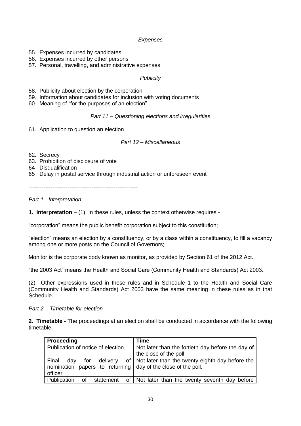# *Expenses*

- 55. Expenses incurred by candidates
- 56. Expenses incurred by other persons
- 57. Personal, travelling, and administrative expenses

## *Publicity*

- 58. Publicity about election by the corporation
- 59. Information about candidates for inclusion with voting documents
- 60. Meaning of "for the purposes of an election"

## *Part 11 – Questioning elections and irregularities*

61. Application to question an election

## *Part 12 – Miscellaneous*

- 62. Secrecy
- 63. Prohibition of disclosure of vote
- 64 Disqualification
- 65 Delay in postal service through industrial action or unforeseen event

-----------------------------------------------------------

*Part 1 - Interpretation*

**1. Interpretation** – (1) In these rules, unless the context otherwise requires -

"corporation" means the public benefit corporation subject to this constitution;

"election" means an election by a constituency, or by a class within a constituency, to fill a vacancy among one or more posts on the Council of Governors;

Monitor is the corporate body known as monitor, as provided by Section 61 of the 2012 Act.

"the 2003 Act" means the Health and Social Care (Community Health and Standards) Act 2003.

(2) Other expressions used in these rules and in Schedule 1 to the Health and Social Care (Community Health and Standards) Act 2003 have the same meaning in these rules as in that Schedule.

*Part 2 – Timetable for election*

**2. Timetable -** The proceedings at an election shall be conducted in accordance with the following timetable.

| <b>Proceeding</b>                                            | <b>Time</b>                                                       |
|--------------------------------------------------------------|-------------------------------------------------------------------|
| Publication of notice of election                            | Not later than the fortieth day before the day of                 |
|                                                              | the close of the poll.                                            |
| Final<br>dav                                                 | for delivery of   Not later than the twenty eighth day before the |
| nomination papers to returning day of the close of the poll. |                                                                   |
| officer                                                      |                                                                   |
| Publication<br>Ωf<br>statement                               | of   Not later than the twenty seventh day before                 |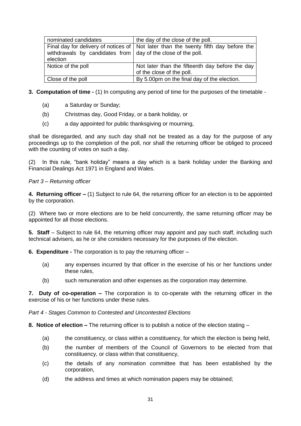| nominated candidates                                                       | the day of the close of the poll.                                                     |
|----------------------------------------------------------------------------|---------------------------------------------------------------------------------------|
| withdrawals by candidates from   day of the close of the poll.<br>election | Final day for delivery of notices of   Not later than the twenty fifth day before the |
| Notice of the poll                                                         | Not later than the fifteenth day before the day<br>of the close of the poll.          |
| Close of the poll                                                          | By 5.00pm on the final day of the election.                                           |

- **3. Computation of time -** (1) In computing any period of time for the purposes of the timetable
	- (a) a Saturday or Sunday;
	- (b) Christmas day, Good Friday, or a bank holiday, or
	- (c) a day appointed for public thanksgiving or mourning,

shall be disregarded, and any such day shall not be treated as a day for the purpose of any proceedings up to the completion of the poll, nor shall the returning officer be obliged to proceed with the counting of votes on such a day.

(2) In this rule, "bank holiday" means a day which is a bank holiday under the Banking and Financial Dealings Act 1971 in England and Wales.

## *Part 3 – Returning officer*

**4. Returning officer –** (1) Subject to rule 64, the returning officer for an election is to be appointed by the corporation.

(2) Where two or more elections are to be held concurrently, the same returning officer may be appointed for all those elections.

**5. Staff** – Subject to rule 64, the returning officer may appoint and pay such staff, including such technical advisers, as he or she considers necessary for the purposes of the election.

**6. Expenditure -** The corporation is to pay the returning officer –

- (a) any expenses incurred by that officer in the exercise of his or her functions under these rules,
- (b) such remuneration and other expenses as the corporation may determine.

**7. Duty of co-operation –** The corporation is to co-operate with the returning officer in the exercise of his or her functions under these rules.

*Part 4 - Stages Common to Contested and Uncontested Elections*

**8. Notice of election –** The returning officer is to publish a notice of the election stating –

- (a) the constituency, or class within a constituency, for which the election is being held,
- (b) the number of members of the Council of Governors to be elected from that constituency, or class within that constituency,
- (c) the details of any nomination committee that has been established by the corporation,
- (d) the address and times at which nomination papers may be obtained;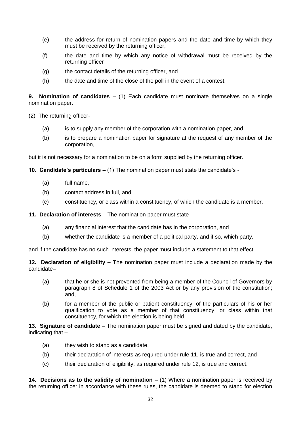- (e) the address for return of nomination papers and the date and time by which they must be received by the returning officer,
- (f) the date and time by which any notice of withdrawal must be received by the returning officer
- (g) the contact details of the returning officer, and
- (h) the date and time of the close of the poll in the event of a contest.

**9. Nomination of candidates –** (1) Each candidate must nominate themselves on a single nomination paper.

- (2) The returning officer-
	- (a) is to supply any member of the corporation with a nomination paper, and
	- (b) is to prepare a nomination paper for signature at the request of any member of the corporation,

but it is not necessary for a nomination to be on a form supplied by the returning officer.

- **10. Candidate's particulars –** (1) The nomination paper must state the candidate's
	- (a) full name,
	- (b) contact address in full, and
	- (c) constituency, or class within a constituency, of which the candidate is a member.

**11. Declaration of interests** – The nomination paper must state –

- (a) any financial interest that the candidate has in the corporation, and
- (b) whether the candidate is a member of a political party, and if so, which party,

and if the candidate has no such interests, the paper must include a statement to that effect.

**12. Declaration of eligibility –** The nomination paper must include a declaration made by the candidate–

- (a) that he or she is not prevented from being a member of the Council of Governors by paragraph 8 of Schedule 1 of the 2003 Act or by any provision of the constitution; and,
- (b) for a member of the public or patient constituency, of the particulars of his or her qualification to vote as a member of that constituency, or class within that constituency, for which the election is being held.

**13. Signature of candidate** – The nomination paper must be signed and dated by the candidate, indicating that –

- (a) they wish to stand as a candidate,
- (b) their declaration of interests as required under rule 11, is true and correct, and
- (c) their declaration of eligibility, as required under rule 12, is true and correct.

**14. Decisions as to the validity of nomination** – (1) Where a nomination paper is received by the returning officer in accordance with these rules, the candidate is deemed to stand for election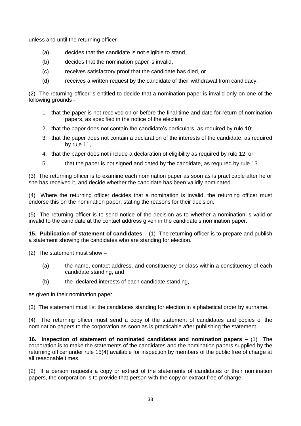unless and until the returning officer-

- (a) decides that the candidate is not eligible to stand,
- (b) decides that the nomination paper is invalid,
- (c) receives satisfactory proof that the candidate has died, or
- (d) receives a written request by the candidate of their withdrawal from candidacy.

(2) The returning officer is entitled to decide that a nomination paper is invalid only on one of the following grounds -

- 1. that the paper is not received on or before the final time and date for return of nomination papers, as specified in the notice of the election,
- 2. that the paper does not contain the candidate's particulars, as required by rule 10;
- 3. that the paper does not contain a declaration of the interests of the candidate, as required by rule 11,
- 4. that the paper does not include a declaration of eligibility as required by rule 12, or
- 5. that the paper is not signed and dated by the candidate, as required by rule 13.

(3) The returning officer is to examine each nomination paper as soon as is practicable after he or she has received it, and decide whether the candidate has been validly nominated.

(4) Where the returning officer decides that a nomination is invalid, the returning officer must endorse this on the nomination paper, stating the reasons for their decision.

(5) The returning officer is to send notice of the decision as to whether a nomination is valid or invalid to the candidate at the contact address given in the candidate's nomination paper.

**15. Publication of statement of candidates –** (1) The returning officer is to prepare and publish a statement showing the candidates who are standing for election.

(2) The statement must show –

- (a) the name, contact address, and constituency or class within a constituency of each candidate standing, and
- (b) the declared interests of each candidate standing,

as given in their nomination paper.

(3) The statement must list the candidates standing for election in alphabetical order by surname.

(4) The returning officer must send a copy of the statement of candidates and copies of the nomination papers to the corporation as soon as is practicable after publishing the statement.

**16. Inspection of statement of nominated candidates and nomination papers –** (1)The corporation is to make the statements of the candidates and the nomination papers supplied by the returning officer under rule 15(4) available for inspection by members of the public free of charge at all reasonable times.

(2) If a person requests a copy or extract of the statements of candidates or their nomination papers, the corporation is to provide that person with the copy or extract free of charge.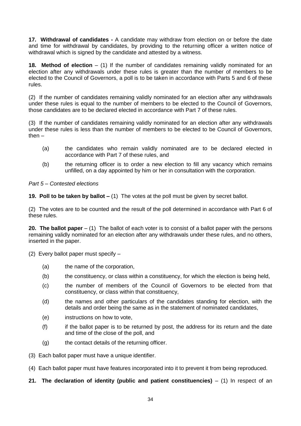**17. Withdrawal of candidates -** A candidate may withdraw from election on or before the date and time for withdrawal by candidates, by providing to the returning officer a written notice of withdrawal which is signed by the candidate and attested by a witness.

**18. Method of election** – (1) If the number of candidates remaining validly nominated for an election after any withdrawals under these rules is greater than the number of members to be elected to the Council of Governors, a poll is to be taken in accordance with Parts 5 and 6 of these rules.

(2) If the number of candidates remaining validly nominated for an election after any withdrawals under these rules is equal to the number of members to be elected to the Council of Governors, those candidates are to be declared elected in accordance with Part 7 of these rules.

(3) If the number of candidates remaining validly nominated for an election after any withdrawals under these rules is less than the number of members to be elected to be Council of Governors, then –

- (a) the candidates who remain validly nominated are to be declared elected in accordance with Part 7 of these rules, and
- (b) the returning officer is to order a new election to fill any vacancy which remains unfilled, on a day appointed by him or her in consultation with the corporation.

*Part 5 – Contested elections*

**19. Poll to be taken by ballot –** (1) The votes at the poll must be given by secret ballot.

(2) The votes are to be counted and the result of the poll determined in accordance with Part 6 of these rules.

**20. The ballot paper** – (1) The ballot of each voter is to consist of a ballot paper with the persons remaining validly nominated for an election after any withdrawals under these rules, and no others, inserted in the paper.

(2) Every ballot paper must specify –

- (a) the name of the corporation,
- (b) the constituency, or class within a constituency, for which the election is being held,
- (c) the number of members of the Council of Governors to be elected from that constituency, or class within that constituency,
- (d) the names and other particulars of the candidates standing for election, with the details and order being the same as in the statement of nominated candidates,
- (e) instructions on how to vote,
- $(f)$  if the ballot paper is to be returned by post, the address for its return and the date and time of the close of the poll, and
- (g) the contact details of the returning officer.
- (3) Each ballot paper must have a unique identifier.
- (4) Each ballot paper must have features incorporated into it to prevent it from being reproduced.
- **21.** The declaration of identity (public and patient constituencies) (1) In respect of an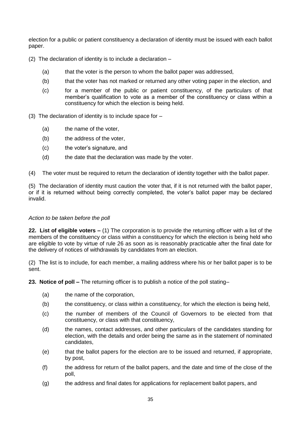election for a public or patient constituency a declaration of identity must be issued with each ballot paper.

- (2) The declaration of identity is to include a declaration
	- (a) that the voter is the person to whom the ballot paper was addressed,
	- (b) that the voter has not marked or returned any other voting paper in the election, and
	- (c) for a member of the public or patient constituency, of the particulars of that member's qualification to vote as a member of the constituency or class within a constituency for which the election is being held.
- (3) The declaration of identity is to include space for
	- (a) the name of the voter,
	- (b) the address of the voter,
	- (c) the voter's signature, and
	- (d) the date that the declaration was made by the voter.
- (4) The voter must be required to return the declaration of identity together with the ballot paper.

(5) The declaration of identity must caution the voter that, if it is not returned with the ballot paper, or if it is returned without being correctly completed, the voter's ballot paper may be declared invalid.

# *Action to be taken before the poll*

**22. List of eligible voters –** (1) The corporation is to provide the returning officer with a list of the members of the constituency or class within a constituency for which the election is being held who are eligible to vote by virtue of rule 26 as soon as is reasonably practicable after the final date for the delivery of notices of withdrawals by candidates from an election.

(2) The list is to include, for each member, a mailing address where his or her ballot paper is to be sent.

**23. Notice of poll –** The returning officer is to publish a notice of the poll stating–

- (a) the name of the corporation,
- (b) the constituency, or class within a constituency, for which the election is being held,
- (c) the number of members of the Council of Governors to be elected from that constituency, or class with that constituency,
- (d) the names, contact addresses, and other particulars of the candidates standing for election, with the details and order being the same as in the statement of nominated candidates,
- (e) that the ballot papers for the election are to be issued and returned, if appropriate, by post,
- (f) the address for return of the ballot papers, and the date and time of the close of the poll,
- (g) the address and final dates for applications for replacement ballot papers, and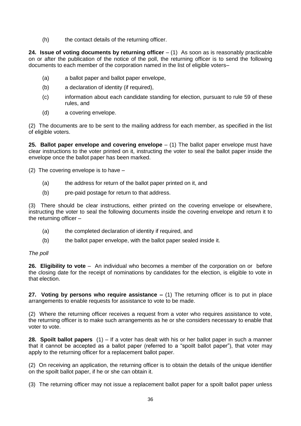(h) the contact details of the returning officer.

**24. Issue of voting documents by returning officer**  $- (1)$  **As soon as is reasonably practicable** on or after the publication of the notice of the poll, the returning officer is to send the following documents to each member of the corporation named in the list of eligible voters–

- (a) a ballot paper and ballot paper envelope,
- (b) a declaration of identity (if required),
- (c) information about each candidate standing for election, pursuant to rule 59 of these rules, and
- (d) a covering envelope.

(2) The documents are to be sent to the mailing address for each member, as specified in the list of eligible voters.

**25. Ballot paper envelope and covering envelope** – (1) The ballot paper envelope must have clear instructions to the voter printed on it, instructing the voter to seal the ballot paper inside the envelope once the ballot paper has been marked.

(2) The covering envelope is to have –

- (a) the address for return of the ballot paper printed on it, and
- (b) pre-paid postage for return to that address.

(3) There should be clear instructions, either printed on the covering envelope or elsewhere, instructing the voter to seal the following documents inside the covering envelope and return it to the returning officer –

- (a) the completed declaration of identity if required, and
- (b) the ballot paper envelope, with the ballot paper sealed inside it.

# *The poll*

**26. Eligibility to vote** – An individual who becomes a member of the corporation on or before the closing date for the receipt of nominations by candidates for the election, is eligible to vote in that election.

**27. Voting by persons who require assistance –** (1) The returning officer is to put in place arrangements to enable requests for assistance to vote to be made.

(2) Where the returning officer receives a request from a voter who requires assistance to vote, the returning officer is to make such arrangements as he or she considers necessary to enable that voter to vote.

**28. Spoilt ballot papers** (1) – If a voter has dealt with his or her ballot paper in such a manner that it cannot be accepted as a ballot paper (referred to a "spoilt ballot paper"), that voter may apply to the returning officer for a replacement ballot paper.

(2) On receiving an application, the returning officer is to obtain the details of the unique identifier on the spoilt ballot paper, if he or she can obtain it.

(3) The returning officer may not issue a replacement ballot paper for a spoilt ballot paper unless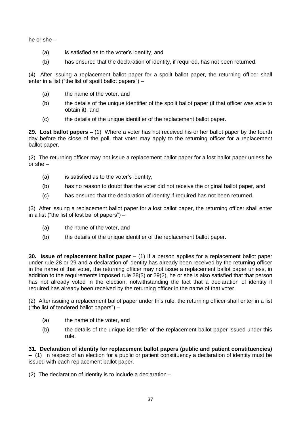he or she –

- (a) is satisfied as to the voter's identity, and
- (b) has ensured that the declaration of identity, if required, has not been returned.

(4) After issuing a replacement ballot paper for a spoilt ballot paper, the returning officer shall enter in a list ("the list of spoilt ballot papers") –

- (a) the name of the voter, and
- (b) the details of the unique identifier of the spoilt ballot paper (if that officer was able to obtain it), and
- (c) the details of the unique identifier of the replacement ballot paper.

**29. Lost ballot papers –** (1) Where a voter has not received his or her ballot paper by the fourth day before the close of the poll, that voter may apply to the returning officer for a replacement ballot paper.

(2) The returning officer may not issue a replacement ballot paper for a lost ballot paper unless he or she –

- (a) is satisfied as to the voter's identity,
- (b) has no reason to doubt that the voter did not receive the original ballot paper, and
- (c) has ensured that the declaration of identity if required has not been returned.

(3) After issuing a replacement ballot paper for a lost ballot paper, the returning officer shall enter in a list ("the list of lost ballot papers") –

- (a) the name of the voter, and
- (b) the details of the unique identifier of the replacement ballot paper.

**30. Issue of replacement ballot paper** – (1) If a person applies for a replacement ballot paper under rule 28 or 29 and a declaration of identity has already been received by the returning officer in the name of that voter, the returning officer may not issue a replacement ballot paper unless, in addition to the requirements imposed rule 28(3) or 29(2), he or she is also satisfied that that person has not already voted in the election, notwithstanding the fact that a declaration of identity if required has already been received by the returning officer in the name of that voter.

(2) After issuing a replacement ballot paper under this rule, the returning officer shall enter in a list ("the list of tendered ballot papers") –

- (a) the name of the voter, and
- (b) the details of the unique identifier of the replacement ballot paper issued under this rule.

**31. Declaration of identity for replacement ballot papers (public and patient constituencies) –** (1) In respect of an election for a public or patient constituency a declaration of identity must be issued with each replacement ballot paper.

(2) The declaration of identity is to include a declaration –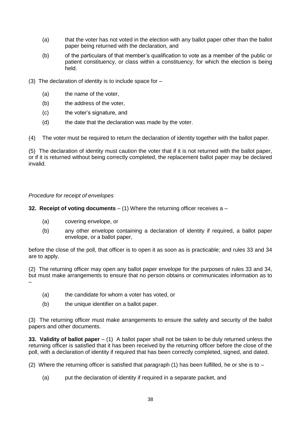- (a) that the voter has not voted in the election with any ballot paper other than the ballot paper being returned with the declaration, and
- (b) of the particulars of that member's qualification to vote as a member of the public or patient constituency, or class within a constituency, for which the election is being held.
- (3) The declaration of identity is to include space for
	- (a) the name of the voter,
	- (b) the address of the voter,
	- (c) the voter's signature, and
	- (d) the date that the declaration was made by the voter.

(4) The voter must be required to return the declaration of identity together with the ballot paper.

(5) The declaration of identity must caution the voter that if it is not returned with the ballot paper, or if it is returned without being correctly completed, the replacement ballot paper may be declared invalid.

### *Procedure for receipt of envelopes*

**32. Receipt of voting documents** – (1) Where the returning officer receives a –

- (a) covering envelope, or
- (b) any other envelope containing a declaration of identity if required, a ballot paper envelope, or a ballot paper,

before the close of the poll, that officer is to open it as soon as is practicable; and rules 33 and 34 are to apply.

(2) The returning officer may open any ballot paper envelope for the purposes of rules 33 and 34, but must make arrangements to ensure that no person obtains or communicates information as to –

- (a) the candidate for whom a voter has voted, or
- (b) the unique identifier on a ballot paper.

(3) The returning officer must make arrangements to ensure the safety and security of the ballot papers and other documents.

**33. Validity of ballot paper** – (1) A ballot paper shall not be taken to be duly returned unless the returning officer is satisfied that it has been received by the returning officer before the close of the poll, with a declaration of identity if required that has been correctly completed, signed, and dated.

(2) Where the returning officer is satisfied that paragraph (1) has been fulfilled, he or she is to  $-$ 

(a) put the declaration of identity if required in a separate packet, and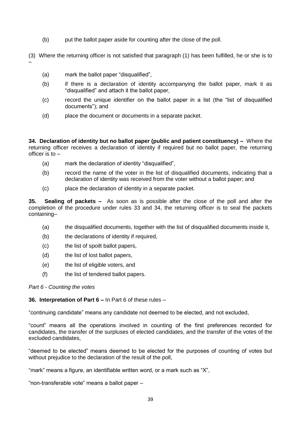(b) put the ballot paper aside for counting after the close of the poll.

(3) Where the returning officer is not satisfied that paragraph (1) has been fulfilled, he or she is to –

- (a) mark the ballot paper "disqualified",
- (b) if there is a declaration of identity accompanying the ballot paper, mark it as "disqualified" and attach it the ballot paper,
- (c) record the unique identifier on the ballot paper in a list (the "list of disqualified documents"); and
- (d) place the document or documents in a separate packet.

**34. Declaration of identity but no ballot paper (public and patient constituency) –** Where the returning officer receives a declaration of identity if required but no ballot paper, the returning officer is to  $-$ 

- (a) mark the declaration of identity "disqualified",
- (b) record the name of the voter in the list of disqualified documents, indicating that a declaration of identity was received from the voter without a ballot paper; and
- (c) place the declaration of identity in a separate packet.

**35. Sealing of packets –** As soon as is possible after the close of the poll and after the completion of the procedure under rules 33 and 34, the returning officer is to seal the packets containing–

- (a) the disqualified documents, together with the list of disqualified documents inside it,
- (b) the declarations of identity if required,
- (c) the list of spoilt ballot papers,
- (d) the list of lost ballot papers,
- (e) the list of eligible voters, and
- (f) the list of tendered ballot papers.

### *Part 6 - Counting the votes*

### **36. Interpretation of Part 6 –** In Part 6 of these rules –

"continuing candidate" means any candidate not deemed to be elected, and not excluded,

"count" means all the operations involved in counting of the first preferences recorded for candidates, the transfer of the surpluses of elected candidates, and the transfer of the votes of the excluded candidates,

"deemed to be elected" means deemed to be elected for the purposes of counting of votes but without prejudice to the declaration of the result of the poll.

"mark" means a figure, an identifiable written word, or a mark such as "X",

"non-transferable vote" means a ballot paper –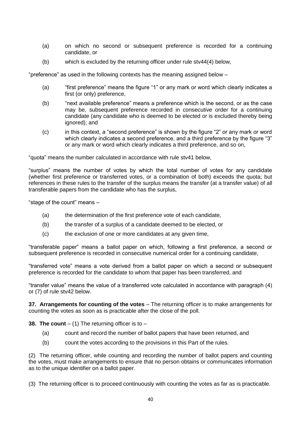- (a) on which no second or subsequent preference is recorded for a continuing candidate, or
- (b) which is excluded by the returning officer under rule stv44(4) below,

"preference" as used in the following contexts has the meaning assigned below –

- (a) "first preference" means the figure "1" or any mark or word which clearly indicates a first (or only) preference,
- (b) "next available preference" means a preference which is the second, or as the case may be, subsequent preference recorded in consecutive order for a continuing candidate (any candidate who is deemed to be elected or is excluded thereby being ignored); and
- (c) in this context, a "second preference" is shown by the figure "2" or any mark or word which clearly indicates a second preference, and a third preference by the figure "3" or any mark or word which clearly indicates a third preference, and so on,

"quota" means the number calculated in accordance with rule stv41 below,

"surplus" means the number of votes by which the total number of votes for any candidate (whether first preference or transferred votes, or a combination of both) exceeds the quota; but references in these rules to the transfer of the surplus means the transfer (at a transfer value) of all transferable papers from the candidate who has the surplus,

"stage of the count" means –

- (a) the determination of the first preference vote of each candidate,
- (b) the transfer of a surplus of a candidate deemed to be elected, or
- (c) the exclusion of one or more candidates at any given time,

"transferable paper" means a ballot paper on which, following a first preference, a second or subsequent preference is recorded in consecutive numerical order for a continuing candidate,

"transferred vote" means a vote derived from a ballot paper on which a second or subsequent preference is recorded for the candidate to whom that paper has been transferred, and

"transfer value" means the value of a transferred vote calculated in accordance with paragraph (4) or (7) of rule stv42 below.

**37. Arrangements for counting of the votes** – The returning officer is to make arrangements for counting the votes as soon as is practicable after the close of the poll.

**38. The count**  $-$  (1) The returning officer is to  $-$ 

- (a) count and record the number of ballot papers that have been returned, and
- (b) count the votes according to the provisions in this Part of the rules.

(2) The returning officer, while counting and recording the number of ballot papers and counting the votes, must make arrangements to ensure that no person obtains or communicates information as to the unique identifier on a ballot paper.

(3) The returning officer is to proceed continuously with counting the votes as far as is practicable.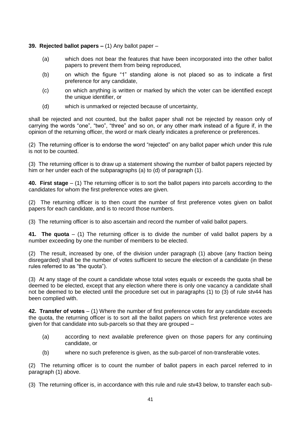### **39. Rejected ballot papers –** (1) Any ballot paper –

- (a) which does not bear the features that have been incorporated into the other ballot papers to prevent them from being reproduced,
- (b) on which the figure "1" standing alone is not placed so as to indicate a first preference for any candidate,
- (c) on which anything is written or marked by which the voter can be identified except the unique identifier, or
- (d) which is unmarked or rejected because of uncertainty,

shall be rejected and not counted, but the ballot paper shall not be rejected by reason only of carrying the words "one", "two", "three" and so on, or any other mark instead of a figure if, in the opinion of the returning officer, the word or mark clearly indicates a preference or preferences.

(2) The returning officer is to endorse the word "rejected" on any ballot paper which under this rule is not to be counted.

(3) The returning officer is to draw up a statement showing the number of ballot papers rejected by him or her under each of the subparagraphs (a) to (d) of paragraph (1).

**40. First stage** – (1) The returning officer is to sort the ballot papers into parcels according to the candidates for whom the first preference votes are given.

(2) The returning officer is to then count the number of first preference votes given on ballot papers for each candidate, and is to record those numbers.

(3) The returning officer is to also ascertain and record the number of valid ballot papers.

**41. The quota** – (1) The returning officer is to divide the number of valid ballot papers by a number exceeding by one the number of members to be elected.

(2) The result, increased by one, of the division under paragraph (1) above (any fraction being disregarded) shall be the number of votes sufficient to secure the election of a candidate (in these rules referred to as "the quota").

(3) At any stage of the count a candidate whose total votes equals or exceeds the quota shall be deemed to be elected, except that any election where there is only one vacancy a candidate shall not be deemed to be elected until the procedure set out in paragraphs (1) to (3) of rule stv44 has been complied with.

**42. Transfer of votes** – (1) Where the number of first preference votes for any candidate exceeds the quota, the returning officer is to sort all the ballot papers on which first preference votes are given for that candidate into sub-parcels so that they are grouped –

- (a) according to next available preference given on those papers for any continuing candidate, or
- (b) where no such preference is given, as the sub-parcel of non-transferable votes.

(2) The returning officer is to count the number of ballot papers in each parcel referred to in paragraph (1) above.

(3) The returning officer is, in accordance with this rule and rule stv43 below, to transfer each sub-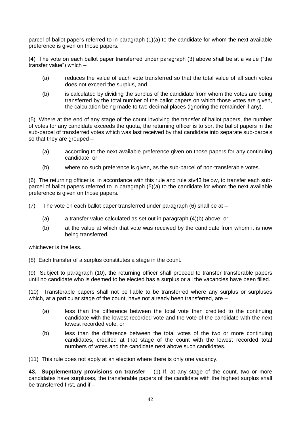parcel of ballot papers referred to in paragraph (1)(a) to the candidate for whom the next available preference is given on those papers.

(4) The vote on each ballot paper transferred under paragraph (3) above shall be at a value ("the transfer value") which –

- (a) reduces the value of each vote transferred so that the total value of all such votes does not exceed the surplus, and
- (b) is calculated by dividing the surplus of the candidate from whom the votes are being transferred by the total number of the ballot papers on which those votes are given, the calculation being made to two decimal places (ignoring the remainder if any).

(5) Where at the end of any stage of the count involving the transfer of ballot papers, the number of votes for any candidate exceeds the quota, the returning officer is to sort the ballot papers in the sub-parcel of transferred votes which was last received by that candidate into separate sub-parcels so that they are grouped –

- (a) according to the next available preference given on those papers for any continuing candidate, or
- (b) where no such preference is given, as the sub-parcel of non-transferable votes.

(6) The returning officer is, in accordance with this rule and rule stv43 below, to transfer each subparcel of ballot papers referred to in paragraph (5)(a) to the candidate for whom the next available preference is given on those papers.

(7) The vote on each ballot paper transferred under paragraph (6) shall be at  $-$ 

- (a) a transfer value calculated as set out in paragraph (4)(b) above, or
- (b) at the value at which that vote was received by the candidate from whom it is now being transferred,

whichever is the less.

(8) Each transfer of a surplus constitutes a stage in the count.

(9) Subject to paragraph (10), the returning officer shall proceed to transfer transferable papers until no candidate who is deemed to be elected has a surplus or all the vacancies have been filled.

(10) Transferable papers shall not be liable to be transferred where any surplus or surpluses which, at a particular stage of the count, have not already been transferred, are -

- (a) less than the difference between the total vote then credited to the continuing candidate with the lowest recorded vote and the vote of the candidate with the next lowest recorded vote, or
- (b) less than the difference between the total votes of the two or more continuing candidates, credited at that stage of the count with the lowest recorded total numbers of votes and the candidate next above such candidates.

(11) This rule does not apply at an election where there is only one vacancy.

**43. Supplementary provisions on transfer** – (1) If, at any stage of the count, two or more candidates have surpluses, the transferable papers of the candidate with the highest surplus shall be transferred first, and if –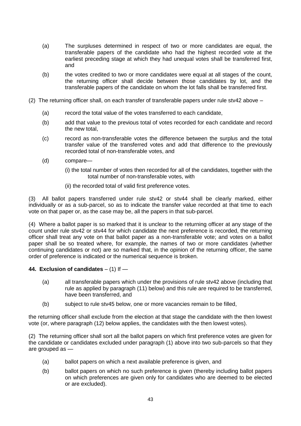- (a) The surpluses determined in respect of two or more candidates are equal, the transferable papers of the candidate who had the highest recorded vote at the earliest preceding stage at which they had unequal votes shall be transferred first, and
- (b) the votes credited to two or more candidates were equal at all stages of the count, the returning officer shall decide between those candidates by lot, and the transferable papers of the candidate on whom the lot falls shall be transferred first.
- (2) The returning officer shall, on each transfer of transferable papers under rule stv42 above
	- (a) record the total value of the votes transferred to each candidate,
	- (b) add that value to the previous total of votes recorded for each candidate and record the new total,
	- (c) record as non-transferable votes the difference between the surplus and the total transfer value of the transferred votes and add that difference to the previously recorded total of non-transferable votes, and
	- (d) compare—
		- (i) the total number of votes then recorded for all of the candidates, together with the total number of non-transferable votes, with
		- (ii) the recorded total of valid first preference votes.

(3) All ballot papers transferred under rule stv42 or stv44 shall be clearly marked, either individually or as a sub-parcel, so as to indicate the transfer value recorded at that time to each vote on that paper or, as the case may be, all the papers in that sub-parcel.

(4) Where a ballot paper is so marked that it is unclear to the returning officer at any stage of the count under rule stv42 or stv44 for which candidate the next preference is recorded, the returning officer shall treat any vote on that ballot paper as a non-transferable vote; and votes on a ballot paper shall be so treated where, for example, the names of two or more candidates (whether continuing candidates or not) are so marked that, in the opinion of the returning officer, the same order of preference is indicated or the numerical sequence is broken.

### **44. Exclusion of candidates** – (1) If —

- (a) all transferable papers which under the provisions of rule stv42 above (including that rule as applied by paragraph (11) below) and this rule are required to be transferred, have been transferred, and
- (b) subject to rule stv45 below, one or more vacancies remain to be filled,

the returning officer shall exclude from the election at that stage the candidate with the then lowest vote (or, where paragraph (12) below applies, the candidates with the then lowest votes).

(2) The returning officer shall sort all the ballot papers on which first preference votes are given for the candidate or candidates excluded under paragraph (1) above into two sub-parcels so that they are grouped as —

- (a) ballot papers on which a next available preference is given, and
- (b) ballot papers on which no such preference is given (thereby including ballot papers on which preferences are given only for candidates who are deemed to be elected or are excluded).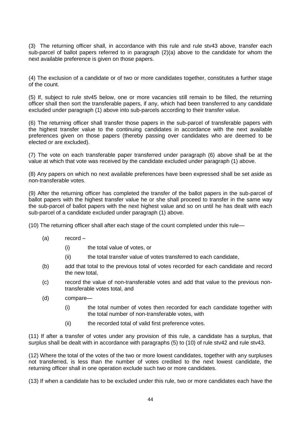(3) The returning officer shall, in accordance with this rule and rule stv43 above, transfer each sub-parcel of ballot papers referred to in paragraph (2)(a) above to the candidate for whom the next available preference is given on those papers.

(4) The exclusion of a candidate or of two or more candidates together, constitutes a further stage of the count.

(5) If, subject to rule stv45 below, one or more vacancies still remain to be filled, the returning officer shall then sort the transferable papers, if any, which had been transferred to any candidate excluded under paragraph (1) above into sub-parcels according to their transfer value.

(6) The returning officer shall transfer those papers in the sub-parcel of transferable papers with the highest transfer value to the continuing candidates in accordance with the next available preferences given on those papers (thereby passing over candidates who are deemed to be elected or are excluded).

(7) The vote on each transferable paper transferred under paragraph (6) above shall be at the value at which that vote was received by the candidate excluded under paragraph (1) above.

(8) Any papers on which no next available preferences have been expressed shall be set aside as non-transferable votes.

(9) After the returning officer has completed the transfer of the ballot papers in the sub-parcel of ballot papers with the highest transfer value he or she shall proceed to transfer in the same way the sub-parcel of ballot papers with the next highest value and so on until he has dealt with each sub-parcel of a candidate excluded under paragraph (1) above.

(10) The returning officer shall after each stage of the count completed under this rule—

- (a) record
	- (i) the total value of votes, or
	- (ii) the total transfer value of votes transferred to each candidate,
- (b) add that total to the previous total of votes recorded for each candidate and record the new total,
- (c) record the value of non-transferable votes and add that value to the previous nontransferable votes total, and
- (d) compare—
	- (i) the total number of votes then recorded for each candidate together with the total number of non-transferable votes, with
	- (ii) the recorded total of valid first preference votes.

(11) If after a transfer of votes under any provision of this rule, a candidate has a surplus, that surplus shall be dealt with in accordance with paragraphs (5) to (10) of rule stv42 and rule stv43.

(12) Where the total of the votes of the two or more lowest candidates, together with any surpluses not transferred, is less than the number of votes credited to the next lowest candidate, the returning officer shall in one operation exclude such two or more candidates.

(13) If when a candidate has to be excluded under this rule, two or more candidates each have the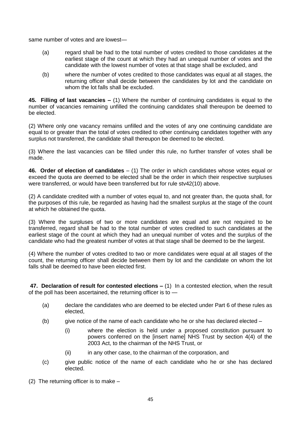same number of votes and are lowest—

- (a) regard shall be had to the total number of votes credited to those candidates at the earliest stage of the count at which they had an unequal number of votes and the candidate with the lowest number of votes at that stage shall be excluded, and
- (b) where the number of votes credited to those candidates was equal at all stages, the returning officer shall decide between the candidates by lot and the candidate on whom the lot falls shall be excluded.

**45. Filling of last vacancies –** (1) Where the number of continuing candidates is equal to the number of vacancies remaining unfilled the continuing candidates shall thereupon be deemed to be elected.

(2) Where only one vacancy remains unfilled and the votes of any one continuing candidate are equal to or greater than the total of votes credited to other continuing candidates together with any surplus not transferred, the candidate shall thereupon be deemed to be elected.

(3) Where the last vacancies can be filled under this rule, no further transfer of votes shall be made.

**46. Order of election of candidates** – (1) The order in which candidates whose votes equal or exceed the quota are deemed to be elected shall be the order in which their respective surpluses were transferred, or would have been transferred but for rule stv42(10) above.

(2) A candidate credited with a number of votes equal to, and not greater than, the quota shall, for the purposes of this rule, be regarded as having had the smallest surplus at the stage of the count at which he obtained the quota.

(3) Where the surpluses of two or more candidates are equal and are not required to be transferred, regard shall be had to the total number of votes credited to such candidates at the earliest stage of the count at which they had an unequal number of votes and the surplus of the candidate who had the greatest number of votes at that stage shall be deemed to be the largest.

(4) Where the number of votes credited to two or more candidates were equal at all stages of the count, the returning officer shall decide between them by lot and the candidate on whom the lot falls shall be deemed to have been elected first.

**47. Declaration of result for contested elections –** (1) In a contested election, when the result of the poll has been ascertained, the returning officer is to —

- (a) declare the candidates who are deemed to be elected under Part 6 of these rules as elected,
- (b) give notice of the name of each candidate who he or she has declared elected  $-$ 
	- (i) where the election is held under a proposed constitution pursuant to powers conferred on the [insert name] NHS Trust by section 4(4) of the 2003 Act, to the chairman of the NHS Trust, or
	- (ii) in any other case, to the chairman of the corporation, and
- (c) give public notice of the name of each candidate who he or she has declared elected.

(2) The returning officer is to make –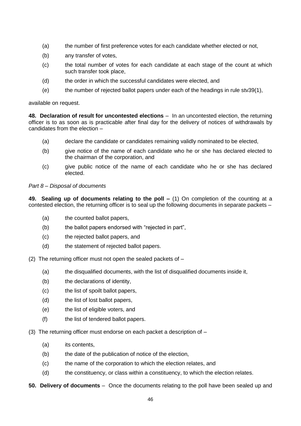- (a) the number of first preference votes for each candidate whether elected or not,
- (b) any transfer of votes,
- (c) the total number of votes for each candidate at each stage of the count at which such transfer took place,
- (d) the order in which the successful candidates were elected, and
- (e) the number of rejected ballot papers under each of the headings in rule stv39(1),

available on request.

**48. Declaration of result for uncontested elections** – In an uncontested election, the returning officer is to as soon as is practicable after final day for the delivery of notices of withdrawals by candidates from the election –

- (a) declare the candidate or candidates remaining validly nominated to be elected,
- (b) give notice of the name of each candidate who he or she has declared elected to the chairman of the corporation, and
- (c) give public notice of the name of each candidate who he or she has declared elected.

#### *Part 8 – Disposal of documents*

**49. Sealing up of documents relating to the poll –** (1) On completion of the counting at a contested election, the returning officer is to seal up the following documents in separate packets –

- (a) the counted ballot papers,
- (b) the ballot papers endorsed with "rejected in part",
- (c) the rejected ballot papers, and
- (d) the statement of rejected ballot papers.

(2) The returning officer must not open the sealed packets of –

- (a) the disqualified documents, with the list of disqualified documents inside it,
- (b) the declarations of identity,
- (c) the list of spoilt ballot papers,
- (d) the list of lost ballot papers,
- (e) the list of eligible voters, and
- (f) the list of tendered ballot papers.

(3) The returning officer must endorse on each packet a description of –

- (a) its contents,
- (b) the date of the publication of notice of the election,
- (c) the name of the corporation to which the election relates, and
- (d) the constituency, or class within a constituency, to which the election relates.
- **50. Delivery of documents** –Once the documents relating to the poll have been sealed up and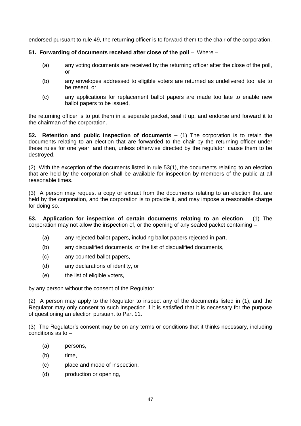endorsed pursuant to rule 49, the returning officer is to forward them to the chair of the corporation.

### **51. Forwarding of documents received after close of the poll** – Where –

- (a) any voting documents are received by the returning officer after the close of the poll, or
- (b) any envelopes addressed to eligible voters are returned as undelivered too late to be resent, or
- (c) any applications for replacement ballot papers are made too late to enable new ballot papers to be issued,

the returning officer is to put them in a separate packet, seal it up, and endorse and forward it to the chairman of the corporation.

**52. Retention and public inspection of documents –** (1) The corporation is to retain the documents relating to an election that are forwarded to the chair by the returning officer under these rules for one year, and then, unless otherwise directed by the regulator, cause them to be destroyed.

(2) With the exception of the documents listed in rule 53(1), the documents relating to an election that are held by the corporation shall be available for inspection by members of the public at all reasonable times.

(3) A person may request a copy or extract from the documents relating to an election that are held by the corporation, and the corporation is to provide it, and may impose a reasonable charge for doing so.

**53. Application for inspection of certain documents relating to an election – (1) The** corporation may not allow the inspection of, or the opening of any sealed packet containing –

- (a) any rejected ballot papers, including ballot papers rejected in part,
- (b) any disqualified documents, or the list of disqualified documents,
- (c) any counted ballot papers,
- (d) any declarations of identity, or
- (e) the list of eligible voters,

by any person without the consent of the Regulator.

(2) A person may apply to the Regulator to inspect any of the documents listed in (1), and the Regulator may only consent to such inspection if it is satisfied that it is necessary for the purpose of questioning an election pursuant to Part 11.

(3) The Regulator's consent may be on any terms or conditions that it thinks necessary, including conditions as to –

- (a) persons,
- (b) time,
- (c) place and mode of inspection,
- (d) production or opening,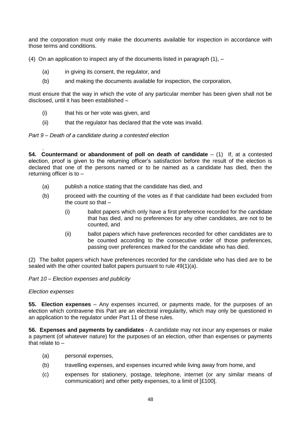and the corporation must only make the documents available for inspection in accordance with those terms and conditions.

(4) On an application to inspect any of the documents listed in paragraph  $(1)$ ,  $-$ 

- (a) in giving its consent, the regulator, and
- (b) and making the documents available for inspection, the corporation,

must ensure that the way in which the vote of any particular member has been given shall not be disclosed, until it has been established –

- (i) that his or her vote was given, and
- (ii) that the regulator has declared that the vote was invalid.

*Part 9 – Death of a candidate during a contested election*

. **54. Countermand or abandonment of poll on death of candidate** – (1) If, at a contested election, proof is given to the returning officer's satisfaction before the result of the election is declared that one of the persons named or to be named as a candidate has died, then the returning officer is to –

- (a) publish a notice stating that the candidate has died, and
- (b) proceed with the counting of the votes as if that candidate had been excluded from the count so that –
	- (i) ballot papers which only have a first preference recorded for the candidate that has died, and no preferences for any other candidates, are not to be counted, and
	- (ii) ballot papers which have preferences recorded for other candidates are to be counted according to the consecutive order of those preferences, passing over preferences marked for the candidate who has died.

(2) The ballot papers which have preferences recorded for the candidate who has died are to be sealed with the other counted ballot papers pursuant to rule 49(1)(a).

*Part 10 – Election expenses and publicity*

### *Election expenses*

**55. Election expenses** – Any expenses incurred, or payments made, for the purposes of an election which contravene this Part are an electoral irregularity, which may only be questioned in an application to the regulator under Part 11 of these rules.

**56. Expenses and payments by candidates** - A candidate may not incur any expenses or make a payment (of whatever nature) for the purposes of an election, other than expenses or payments that relate to –

- (a) personal expenses,
- (b) travelling expenses, and expenses incurred while living away from home, and
- (c) expenses for stationery, postage, telephone, internet (or any similar means of communication) and other petty expenses, to a limit of [£100].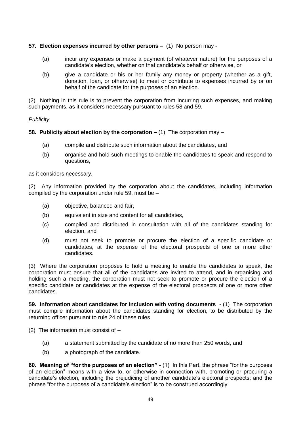# **57. Election expenses incurred by other persons** – (1)No person may -

- (a) incur any expenses or make a payment (of whatever nature) for the purposes of a candidate's election, whether on that candidate's behalf or otherwise, or
- (b) give a candidate or his or her family any money or property (whether as a gift, donation, loan, or otherwise) to meet or contribute to expenses incurred by or on behalf of the candidate for the purposes of an election.

(2) Nothing in this rule is to prevent the corporation from incurring such expenses, and making such payments, as it considers necessary pursuant to rules 58 and 59.

# *Publicity*

# **58. Publicity about election by the corporation –** (1) The corporation may –

- (a) compile and distribute such information about the candidates, and
- (b) organise and hold such meetings to enable the candidates to speak and respond to questions,

as it considers necessary.

(2) Any information provided by the corporation about the candidates, including information compiled by the corporation under rule 59, must be –

- (a) objective, balanced and fair,
- (b) equivalent in size and content for all candidates,
- (c) compiled and distributed in consultation with all of the candidates standing for election, and
- (d) must not seek to promote or procure the election of a specific candidate or candidates, at the expense of the electoral prospects of one or more other candidates.

(3) Where the corporation proposes to hold a meeting to enable the candidates to speak, the corporation must ensure that all of the candidates are invited to attend, and in organising and holding such a meeting, the corporation must not seek to promote or procure the election of a specific candidate or candidates at the expense of the electoral prospects of one or more other candidates.

**59. Information about candidates for inclusion with voting documents** - (1) The corporation must compile information about the candidates standing for election, to be distributed by the returning officer pursuant to rule 24 of these rules.

(2) The information must consist of –

- (a) a statement submitted by the candidate of no more than 250 words, and
- (b) a photograph of the candidate.

**60. Meaning of "for the purposes of an election" -** (1) In this Part, the phrase "for the purposes of an election" means with a view to, or otherwise in connection with, promoting or procuring a candidate's election, including the prejudicing of another candidate's electoral prospects; and the phrase "for the purposes of a candidate's election" is to be construed accordingly.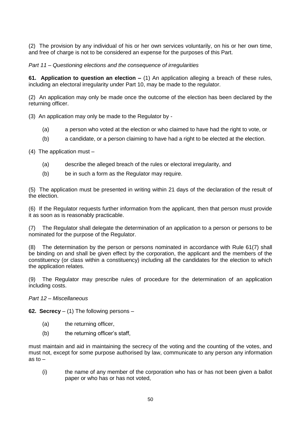(2) The provision by any individual of his or her own services voluntarily, on his or her own time, and free of charge is not to be considered an expense for the purposes of this Part.

*Part 11 – Questioning elections and the consequence of irregularities*

**61. Application to question an election –** (1) An application alleging a breach of these rules, including an electoral irregularity under Part 10, may be made to the regulator.

(2) An application may only be made once the outcome of the election has been declared by the returning officer.

(3) An application may only be made to the Regulator by -

- (a) a person who voted at the election or who claimed to have had the right to vote, or
- (b) a candidate, or a person claiming to have had a right to be elected at the election.

(4) The application must –

- (a) describe the alleged breach of the rules or electoral irregularity, and
- (b) be in such a form as the Regulator may require.

(5) The application must be presented in writing within 21 days of the declaration of the result of the election.

(6) If the Regulator requests further information from the applicant, then that person must provide it as soon as is reasonably practicable.

(7) The Regulator shall delegate the determination of an application to a person or persons to be nominated for the purpose of the Regulator.

(8) The determination by the person or persons nominated in accordance with Rule 61(7) shall be binding on and shall be given effect by the corporation, the applicant and the members of the constituency (or class within a constituency) including all the candidates for the election to which the application relates.

(9) The Regulator may prescribe rules of procedure for the determination of an application including costs.

#### *Part 12 – Miscellaneous*

**62. Secrecy** – (1) The following persons –

- (a) the returning officer,
- (b) the returning officer's staff,

must maintain and aid in maintaining the secrecy of the voting and the counting of the votes, and must not, except for some purpose authorised by law, communicate to any person any information as to  $-$ 

(i) the name of any member of the corporation who has or has not been given a ballot paper or who has or has not voted,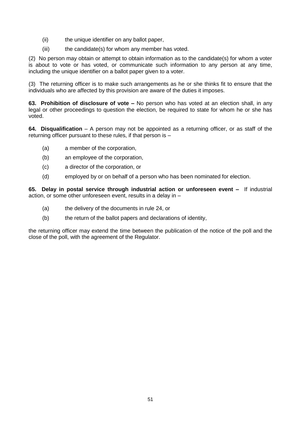- (ii) the unique identifier on any ballot paper,
- (iii) the candidate(s) for whom any member has voted.

(2) No person may obtain or attempt to obtain information as to the candidate(s) for whom a voter is about to vote or has voted, or communicate such information to any person at any time, including the unique identifier on a ballot paper given to a voter.

(3) The returning officer is to make such arrangements as he or she thinks fit to ensure that the individuals who are affected by this provision are aware of the duties it imposes.

**63. Prohibition of disclosure of vote –** No person who has voted at an election shall, in any legal or other proceedings to question the election, be required to state for whom he or she has voted.

**64. Disqualification** – A person may not be appointed as a returning officer, or as staff of the returning officer pursuant to these rules, if that person is –

- (a) a member of the corporation,
- (b) an employee of the corporation,
- (c) a director of the corporation, or
- (d) employed by or on behalf of a person who has been nominated for election.

**65. Delay in postal service through industrial action or unforeseen event –** If industrial action, or some other unforeseen event, results in a delay in –

- (a) the delivery of the documents in rule 24, or
- (b) the return of the ballot papers and declarations of identity,

the returning officer may extend the time between the publication of the notice of the poll and the close of the poll, with the agreement of the Regulator.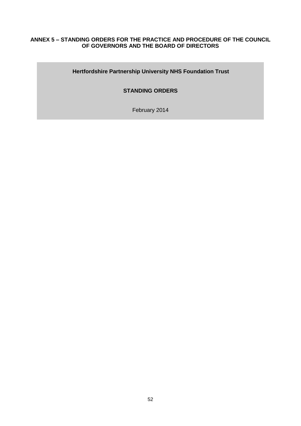### **ANNEX 5 – STANDING ORDERS FOR THE PRACTICE AND PROCEDURE OF THE COUNCIL OF GOVERNORS AND THE BOARD OF DIRECTORS**

# **Hertfordshire Partnership University NHS Foundation Trust**

# **STANDING ORDERS**

February 2014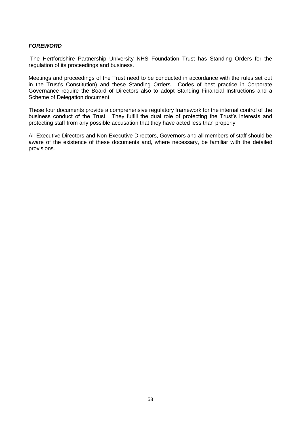#### *FOREWORD*

The Hertfordshire Partnership University NHS Foundation Trust has Standing Orders for the regulation of its proceedings and business.

Meetings and proceedings of the Trust need to be conducted in accordance with the rules set out in the Trust's Constitution) and these Standing Orders. Codes of best practice in Corporate Governance require the Board of Directors also to adopt Standing Financial Instructions and a Scheme of Delegation document.

These four documents provide a comprehensive regulatory framework for the internal control of the business conduct of the Trust. They fulfill the dual role of protecting the Trust's interests and protecting staff from any possible accusation that they have acted less than properly.

All Executive Directors and Non-Executive Directors, Governors and all members of staff should be aware of the existence of these documents and, where necessary, be familiar with the detailed provisions.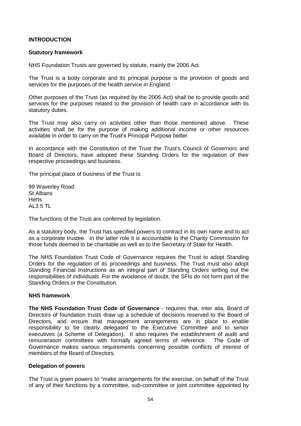### **INTRODUCTION**

#### **Statutory framework**

NHS Foundation Trusts are governed by statute, mainly the 2006 Act.

The Trust is a body corporate and its principal purpose is the provision of goods and services for the purposes of the health service in England.

Other purposes of the Trust (as required by the 2006 Act) shall be to provide goods and services for the purposes related to the provision of health care in accordance with its statutory duties.

The Trust may also carry on activities other than those mentioned above. These activities shall be for the purpose of making additional income or other resources available in order to carry on the Trust's Principal Purpose better.

In accordance with the Constitution of the Trust the Trust's Council of Governors and Board of Directors, have adopted these Standing Orders for the regulation of their respective proceedings and business.

The principal place of business of the Trust is:

99 Waverley Road St Albans **Herts** AL3 5 TL

The functions of the Trust are conferred by legislation.

As a statutory body, the Trust has specified powers to contract in its own name and to act as a corporate trustee. In the latter role it is accountable to the Charity Commission for those funds deemed to be charitable as well as to the Secretary of State for Health.

The NHS Foundation Trust Code of Governance requires the Trust to adopt Standing Orders for the regulation of its proceedings and business. The Trust must also adopt Standing Financial Instructions as an integral part of Standing Orders setting out the responsibilities of individuals. For the avoidance of doubt, the SFIs do not form part of the Standing Orders or the Constitution.

#### **NHS framework**

**The NHS Foundation Trust Code of Governance** - requires that, inter alia, Board of Directors of foundation trusts draw up a schedule of decisions reserved to the Board of Directors, and ensure that management arrangements are in place to enable responsibility to be clearly delegated to the Executive Committee and to senior executives (a Scheme of Delegation). It also requires the establishment of audit and remuneration committees with formally agreed terms of reference. The Code of Governance makes various requirements concerning possible conflicts of interest of members of the Board of Directors.

#### **Delegation of powers**

The Trust is given powers to "make arrangements for the exercise, on behalf of the Trust of any of their functions by a committee, sub-committee or joint committee appointed by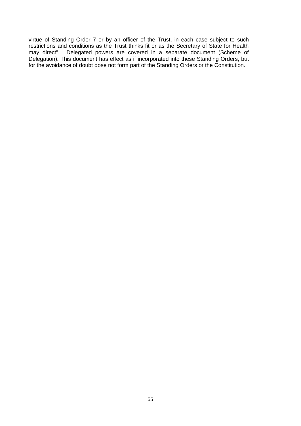virtue of Standing Order 7 or by an officer of the Trust, in each case subject to such restrictions and conditions as the Trust thinks fit or as the Secretary of State for Health may direct". Delegated powers are covered in a separate document (Scheme of Delegation). This document has effect as if incorporated into these Standing Orders, but for the avoidance of doubt dose not form part of the Standing Orders or the Constitution.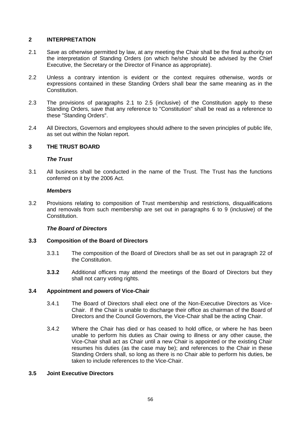### **2 INTERPRETATION**

- 2.1 Save as otherwise permitted by law, at any meeting the Chair shall be the final authority on the interpretation of Standing Orders (on which he/she should be advised by the Chief Executive, the Secretary or the Director of Finance as appropriate).
- 2.2 Unless a contrary intention is evident or the context requires otherwise, words or expressions contained in these Standing Orders shall bear the same meaning as in the Constitution.
- 2.3 The provisions of paragraphs 2.1 to 2.5 (inclusive) of the Constitution apply to these Standing Orders, save that any reference to "Constitution" shall be read as a reference to these "Standing Orders".
- 2.4 All Directors, Governors and employees should adhere to the seven principles of public life, as set out within the Nolan report.

### **3 THE TRUST BOARD**

### *The Trust*

3.1 All business shall be conducted in the name of the Trust. The Trust has the functions conferred on it by the 2006 Act.

#### *Members*

3.2 Provisions relating to composition of Trust membership and restrictions, disqualifications and removals from such membership are set out in paragraphs 6 to 9 (inclusive) of the Constitution.

### *The Board of Directors*

### **3.3 Composition of the Board of Directors**

- 3.3.1 The composition of the Board of Directors shall be as set out in paragraph 22 of the Constitution.
- **3.3.2** Additional officers may attend the meetings of the Board of Directors but they shall not carry voting rights.

### **3.4 Appointment and powers of Vice-Chair**

- 3.4.1 The Board of Directors shall elect one of the Non-Executive Directors as Vice-Chair. If the Chair is unable to discharge their office as chairman of the Board of Directors and the Council Governors, the Vice-Chair shall be the acting Chair.
- 3.4.2 Where the Chair has died or has ceased to hold office, or where he has been unable to perform his duties as Chair owing to illness or any other cause, the Vice-Chair shall act as Chair until a new Chair is appointed or the existing Chair resumes his duties (as the case may be); and references to the Chair in these Standing Orders shall, so long as there is no Chair able to perform his duties, be taken to include references to the Vice-Chair.

#### **3.5 Joint Executive Directors**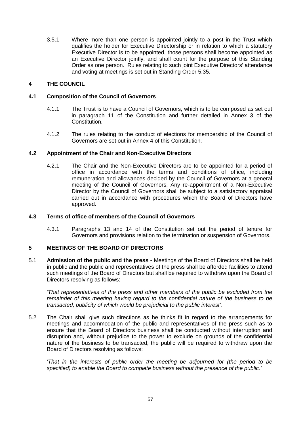3.5.1 Where more than one person is appointed jointly to a post in the Trust which qualifies the holder for Executive Directorship or in relation to which a statutory Executive Director is to be appointed, those persons shall become appointed as an Executive Director jointly, and shall count for the purpose of this Standing Order as one person. Rules relating to such joint Executive Directors' attendance and voting at meetings is set out in Standing Order 5.35.

### **4 THE COUNCIL**

### **4.1 Composition of the Council of Governors**

- 4.1.1 The Trust is to have a Council of Governors, which is to be composed as set out in paragraph 11 of the Constitution and further detailed in Annex 3 of the Constitution.
- 4.1.2 The rules relating to the conduct of elections for membership of the Council of Governors are set out in Annex 4 of this Constitution.

### **4.2 Appointment of the Chair and Non-Executive Directors**

4.2.1 The Chair and the Non-Executive Directors are to be appointed for a period of office in accordance with the terms and conditions of office, including remuneration and allowances decided by the Council of Governors at a general meeting of the Council of Governors. Any re-appointment of a Non-Executive Director by the Council of Governors shall be subject to a satisfactory appraisal carried out in accordance with procedures which the Board of Directors have approved.

# **4.3 Terms of office of members of the Council of Governors**

4.3.1 Paragraphs 13 and 14 of the Constitution set out the period of tenure for Governors and provisions relation to the termination or suspension of Governors.

## **5 MEETINGS OF THE BOARD OF DIRECTORS**

5.1 **Admission of the public and the press -** Meetings of the Board of Directors shall be held in public and the public and representatives of the press shall be afforded facilities to attend such meetings of the Board of Directors but shall be required to withdraw upon the Board of Directors resolving as follows:

*'That representatives of the press and other members of the public be excluded from the remainder of this meeting having regard to the confidential nature of the business to be transacted, publicity of which would be prejudicial to the public interest'.*

5.2 The Chair shall give such directions as he thinks fit in regard to the arrangements for meetings and accommodation of the public and representatives of the press such as to ensure that the Board of Directors business shall be conducted without interruption and disruption and, without prejudice to the power to exclude on grounds of the confidential nature of the business to be transacted, the public will be required to withdraw upon the Board of Directors resolving as follows:

*'That in the interests of public order the meeting be adjourned for (the period to be specified) to enable the Board to complete business without the presence of the public.'*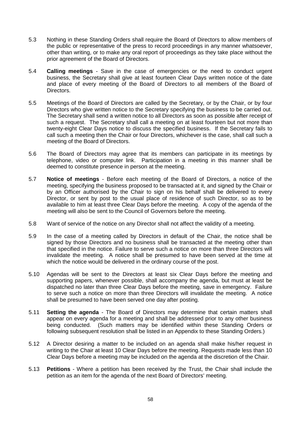- 5.3 Nothing in these Standing Orders shall require the Board of Directors to allow members of the public or representative of the press to record proceedings in any manner whatsoever, other than writing, or to make any oral report of proceedings as they take place without the prior agreement of the Board of Directors.
- 5.4 **Calling meetings** Save in the case of emergencies or the need to conduct urgent business, the Secretary shall give at least fourteen Clear Days written notice of the date and place of every meeting of the Board of Directors to all members of the Board of Directors.
- 5.5 Meetings of the Board of Directors are called by the Secretary, or by the Chair, or by four Directors who give written notice to the Secretary specifying the business to be carried out. The Secretary shall send a written notice to all Directors as soon as possible after receipt of such a request. The Secretary shall call a meeting on at least fourteen but not more than twenty-eight Clear Days notice to discuss the specified business. If the Secretary fails to call such a meeting then the Chair or four Directors, whichever is the case, shall call such a meeting of the Board of Directors.
- 5.6 The Board of Directors may agree that its members can participate in its meetings by telephone, video or computer link. Participation in a meeting in this manner shall be deemed to constitute presence in person at the meeting.
- 5.7 **Notice of meetings** Before each meeting of the Board of Directors, a notice of the meeting, specifying the business proposed to be transacted at it, and signed by the Chair or by an Officer authorised by the Chair to sign on his behalf shall be delivered to every Director, or sent by post to the usual place of residence of such Director, so as to be available to him at least three Clear Days before the meeting. A copy of the agenda of the meeting will also be sent to the Council of Governors before the meeting.
- 5.8 Want of service of the notice on any Director shall not affect the validity of a meeting.
- 5.9 In the case of a meeting called by Directors in default of the Chair, the notice shall be signed by those Directors and no business shall be transacted at the meeting other than that specified in the notice. Failure to serve such a notice on more than three Directors will invalidate the meeting. A notice shall be presumed to have been served at the time at which the notice would be delivered in the ordinary course of the post.
- 5.10 Agendas will be sent to the Directors at least six Clear Days before the meeting and supporting papers, whenever possible, shall accompany the agenda, but must at least be dispatched no later than three Clear Days before the meeting, save in emergency. Failure to serve such a notice on more than three Directors will invalidate the meeting. A notice shall be presumed to have been served one day after posting.
- 5.11 **Setting the agenda** The Board of Directors may determine that certain matters shall appear on every agenda for a meeting and shall be addressed prior to any other business being conducted. (Such matters may be identified within these Standing Orders or following subsequent resolution shall be listed in an Appendix to these Standing Orders.)
- 5.12 A Director desiring a matter to be included on an agenda shall make his/her request in writing to the Chair at least 10 Clear Days before the meeting. Requests made less than 10 Clear Days before a meeting may be included on the agenda at the discretion of the Chair.
- 5.13 **Petitions**  Where a petition has been received by the Trust, the Chair shall include the petition as an item for the agenda of the next Board of Directors' meeting.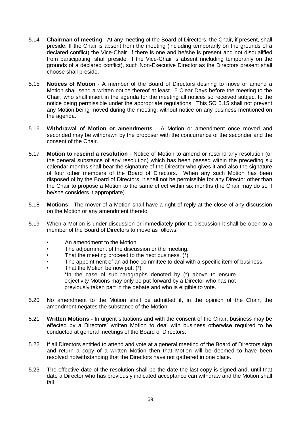- 5.14 **Chairman of meeting** At any meeting of the Board of Directors, the Chair, if present, shall preside. If the Chair is absent from the meeting (including temporarily on the grounds of a declared conflict) the Vice-Chair, if there is one and he/she is present and not disqualified from participating, shall preside. If the Vice-Chair is absent (including temporarily on the grounds of a declared conflict), such Non-Executive Director as the Directors present shall choose shall preside.
- 5.15 **Notices of Motion** A member of the Board of Directors desiring to move or amend a Motion shall send a written notice thereof at least 15 Clear Days before the meeting to the Chair, who shall insert in the agenda for the meeting all notices so received subject to the notice being permissible under the appropriate regulations. This SO 5.15 shall not prevent any Motion being moved during the meeting, without notice on any business mentioned on the agenda.
- 5.16 **Withdrawal of Motion or amendments** A Motion or amendment once moved and seconded may be withdrawn by the proposer with the concurrence of the seconder and the consent of the Chair.
- 5.17 **Motion to rescind a resolution** Notice of Motion to amend or rescind any resolution (or the general substance of any resolution) which has been passed within the preceding six calendar months shall bear the signature of the Director who gives it and also the signature of four other members of the Board of Directors. When any such Motion has been disposed of by the Board of Directors, it shall not be permissible for any Director other than the Chair to propose a Motion to the same effect within six months (the Chair may do so if he/she considers it appropriate).
- 5.18 **Motions** The mover of a Motion shall have a right of reply at the close of any discussion on the Motion or any amendment thereto.
- 5.19 When a Motion is under discussion or immediately prior to discussion it shall be open to a member of the Board of Directors to move as follows:
	- An amendment to the Motion.
	- The adjournment of the discussion or the meeting.
	- That the meeting proceed to the next business.  $(*)$
	- The appointment of an ad hoc committee to deal with a specific item of business.
	- That the Motion be now put.  $(*)$ \*In the case of sub-paragraphs denoted by (\*) above to ensure objectivity Motions may only be put forward by a Director who has not previously taken part in the debate and who is eligible to vote.
- 5.20 No amendment to the Motion shall be admitted if, in the opinion of the Chair, the amendment negates the substance of the Motion.
- 5.21 **Written Motions -** In urgent situations and with the consent of the Chair, business may be effected by a Directors' written Motion to deal with business otherwise required to be conducted at general meetings of the Board of Directors.
- 5.22 If all Directors entitled to attend and vote at a general meeting of the Board of Directors sign and return a copy of a written Motion then that Motion will be deemed to have been resolved notwithstanding that the Directors have not gathered in one place.
- 5.23 The effective date of the resolution shall be the date the last copy is signed and, until that date a Director who has previously indicated acceptance can withdraw and the Motion shall fail.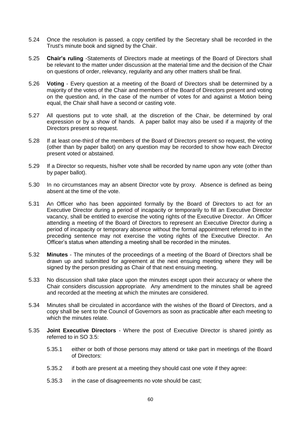- 5.24 Once the resolution is passed, a copy certified by the Secretary shall be recorded in the Trust's minute book and signed by the Chair.
- 5.25 **Chair's ruling** -Statements of Directors made at meetings of the Board of Directors shall be relevant to the matter under discussion at the material time and the decision of the Chair on questions of order, relevancy, regularity and any other matters shall be final.
- 5.26 **Voting** Every question at a meeting of the Board of Directors shall be determined by a majority of the votes of the Chair and members of the Board of Directors present and voting on the question and, in the case of the number of votes for and against a Motion being equal, the Chair shall have a second or casting vote.
- 5.27 All questions put to vote shall, at the discretion of the Chair, be determined by oral expression or by a show of hands. A paper ballot may also be used if a majority of the Directors present so request.
- 5.28 If at least one-third of the members of the Board of Directors present so request, the voting (other than by paper ballot) on any question may be recorded to show how each Director present voted or abstained.
- 5.29 If a Director so requests, his/her vote shall be recorded by name upon any vote (other than by paper ballot).
- 5.30 In no circumstances may an absent Director vote by proxy. Absence is defined as being absent at the time of the vote.
- 5.31 An Officer who has been appointed formally by the Board of Directors to act for an Executive Director during a period of incapacity or temporarily to fill an Executive Director vacancy, shall be entitled to exercise the voting rights of the Executive Director. An Officer attending a meeting of the Board of Directors to represent an Executive Director during a period of incapacity or temporary absence without the formal appointment referred to in the preceding sentence may not exercise the voting rights of the Executive Director. An Officer's status when attending a meeting shall be recorded in the minutes.
- 5.32 **Minutes**  The minutes of the proceedings of a meeting of the Board of Directors shall be drawn up and submitted for agreement at the next ensuing meeting where they will be signed by the person presiding as Chair of that next ensuing meeting.
- 5.33 No discussion shall take place upon the minutes except upon their accuracy or where the Chair considers discussion appropriate. Any amendment to the minutes shall be agreed and recorded at the meeting at which the minutes are considered.
- 5.34 Minutes shall be circulated in accordance with the wishes of the Board of Directors, and a copy shall be sent to the Council of Governors as soon as practicable after each meeting to which the minutes relate.
- 5.35 **Joint Executive Directors** Where the post of Executive Director is shared jointly as referred to in SO 3.5:
	- 5.35.1 either or both of those persons may attend or take part in meetings of the Board of Directors:
	- 5.35.2 if both are present at a meeting they should cast one vote if they agree:
	- 5.35.3 in the case of disagreements no vote should be cast;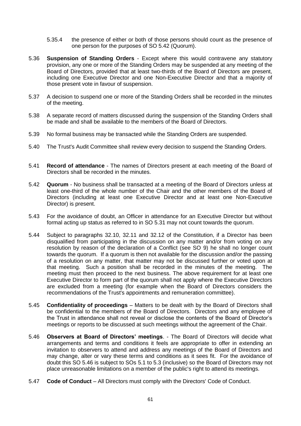- 5.35.4 the presence of either or both of those persons should count as the presence of one person for the purposes of SO 5.42 (Quorum).
- 5.36 **Suspension of Standing Orders** Except where this would contravene any statutory provision, any one or more of the Standing Orders may be suspended at any meeting of the Board of Directors, provided that at least two-thirds of the Board of Directors are present, including one Executive Director and one Non-Executive Director and that a majority of those present vote in favour of suspension.
- 5.37 A decision to suspend one or more of the Standing Orders shall be recorded in the minutes of the meeting.
- 5.38 A separate record of matters discussed during the suspension of the Standing Orders shall be made and shall be available to the members of the Board of Directors.
- 5.39 No formal business may be transacted while the Standing Orders are suspended.
- 5.40 The Trust's Audit Committee shall review every decision to suspend the Standing Orders.
- 5.41 **Record of attendance** The names of Directors present at each meeting of the Board of Directors shall be recorded in the minutes.
- 5.42 **Quorum**  No business shall be transacted at a meeting of the Board of Directors unless at least one-third of the whole number of the Chair and the other members of the Board of Directors (including at least one Executive Director and at least one Non-Executive Director) is present.
- 5.43 For the avoidance of doubt, an Officer in attendance for an Executive Director but without formal acting up status as referred to in SO 5.31 may not count towards the quorum.
- 5.44 Subject to paragraphs 32.10, 32.11 and 32.12 of the Constitution, if a Director has been disqualified from participating in the discussion on any matter and/or from voting on any resolution by reason of the declaration of a Conflict (see SO 9) he shall no longer count towards the quorum. If a quorum is then not available for the discussion and/or the passing of a resolution on any matter, that matter may not be discussed further or voted upon at that meeting. Such a position shall be recorded in the minutes of the meeting. The meeting must then proceed to the next business. The above requirement for at least one Executive Director to form part of the quorum shall not apply where the Executive Directors are excluded from a meeting (for example when the Board of Directors considers the recommendations of the Trust's appointments and remuneration committee).
- 5.45 **Confidentiality of proceedings** Matters to be dealt with by the Board of Directors shall be confidential to the members of the Board of Directors. Directors and any employee of the Trust in attendance shall not reveal or disclose the contents of the Board of Director's meetings or reports to be discussed at such meetings without the agreement of the Chair.
- 5.46 **Observers at Board of Directors' meetings**. The Board of Directors will decide what arrangements and terms and conditions it feels are appropriate to offer in extending an invitation to observers to attend and address any meetings of the Board of Directors and may change, alter or vary these terms and conditions as it sees fit. For the avoidance of doubt this SO 5.46 is subject to SOs 5.1 to 5.3 (inclusive) so the Board of Directors may not place unreasonable limitations on a member of the public's right to attend its meetings.
- 5.47 **Code of Conduct**  All Directors must comply with the Directors' Code of Conduct.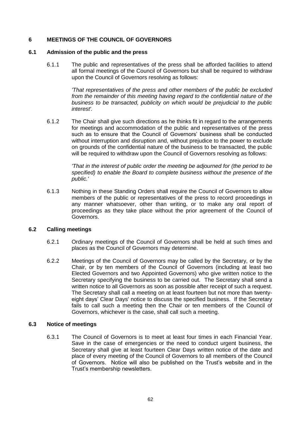# **6 MEETINGS OF THE COUNCIL OF GOVERNORS**

#### **6.1 Admission of the public and the press**

6.1.1 The public and representatives of the press shall be afforded facilities to attend all formal meetings of the Council of Governors but shall be required to withdraw upon the Council of Governors resolving as follows:

> *'That representatives of the press and other members of the public be excluded from the remainder of this meeting having regard to the confidential nature of the business to be transacted, publicity on which would be prejudicial to the public interest'.*

6.1.2 The Chair shall give such directions as he thinks fit in regard to the arrangements for meetings and accommodation of the public and representatives of the press such as to ensure that the Council of Governors' business shall be conducted without interruption and disruption and, without prejudice to the power to exclude on grounds of the confidential nature of the business to be transacted, the public will be required to withdraw upon the Council of Governors resolving as follows:

> *'That in the interest of public order the meeting be adjourned for (the period to be specified) to enable the Board to complete business without the presence of the public.'*

6.1.3 Nothing in these Standing Orders shall require the Council of Governors to allow members of the public or representatives of the press to record proceedings in any manner whatsoever, other than writing, or to make any oral report of proceedings as they take place without the prior agreement of the Council of Governors.

### **6.2 Calling meetings**

- 6.2.1 Ordinary meetings of the Council of Governors shall be held at such times and places as the Council of Governors may determine.
- 6.2.2 Meetings of the Council of Governors may be called by the Secretary, or by the Chair, or by ten members of the Council of Governors (including at least two Elected Governors and two Appointed Governors) who give written notice to the Secretary specifying the business to be carried out. The Secretary shall send a written notice to all Governors as soon as possible after receipt of such a request. The Secretary shall call a meeting on at least fourteen but not more than twentyeight days' Clear Days' notice to discuss the specified business. If the Secretary fails to call such a meeting then the Chair or ten members of the Council of Governors, whichever is the case, shall call such a meeting.

### **6.3 Notice of meetings**

6.3.1 The Council of Governors is to meet at least four times in each Financial Year. Save in the case of emergencies or the need to conduct urgent business, the Secretary shall give at least fourteen Clear Days written notice of the date and place of every meeting of the Council of Governors to all members of the Council of Governors. Notice will also be published on the Trust's website and in the Trust's membership newsletters.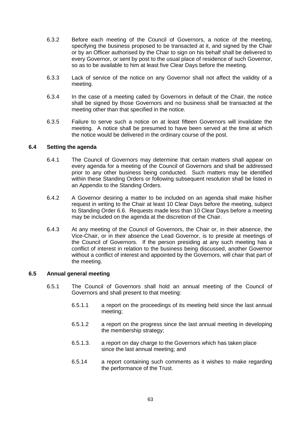- 6.3.2 Before each meeting of the Council of Governors, a notice of the meeting, specifying the business proposed to be transacted at it, and signed by the Chair or by an Officer authorised by the Chair to sign on his behalf shall be delivered to every Governor, or sent by post to the usual place of residence of such Governor, so as to be available to him at least five Clear Days before the meeting.
- 6.3.3 Lack of service of the notice on any Governor shall not affect the validity of a meeting.
- 6.3.4 In the case of a meeting called by Governors in default of the Chair, the notice shall be signed by those Governors and no business shall be transacted at the meeting other than that specified in the notice.
- 6.3.5 Failure to serve such a notice on at least fifteen Governors will invalidate the meeting. A notice shall be presumed to have been served at the time at which the notice would be delivered in the ordinary course of the post.

#### **6.4 Setting the agenda**

- 6.4.1 The Council of Governors may determine that certain matters shall appear on every agenda for a meeting of the Council of Governors and shall be addressed prior to any other business being conducted. Such matters may be identified within these Standing Orders or following subsequent resolution shall be listed in an Appendix to the Standing Orders.
- 6.4.2 A Governor desiring a matter to be included on an agenda shall make his/her request in writing to the Chair at least 10 Clear Days before the meeting, subject to Standing Order 6.6. Requests made less than 10 Clear Days before a meeting may be included on the agenda at the discretion of the Chair.
- 6.4.3 At any meeting of the Council of Governors, the Chair or, in their absence, the Vice-Chair, or in their absence the Lead Governor, is to preside at meetings of the Council of Governors. If the person presiding at any such meeting has a conflict of interest in relation to the business being discussed, another Governor without a conflict of interest and appointed by the Governors, will chair that part of the meeting.

#### **6.5 Annual general meeting**

- 6.5.1 The Council of Governors shall hold an annual meeting of the Council of Governors and shall present to that meeting:
	- 6.5.1.1 a report on the proceedings of its meeting held since the last annual meeting;
	- 6.5.1.2 a report on the progress since the last annual meeting in developing the membership strategy;
	- 6.5.1.3. a report on day charge to the Governors which has taken place since the last annual meeting; and
	- 6.5.14 a report containing such comments as it wishes to make regarding the performance of the Trust.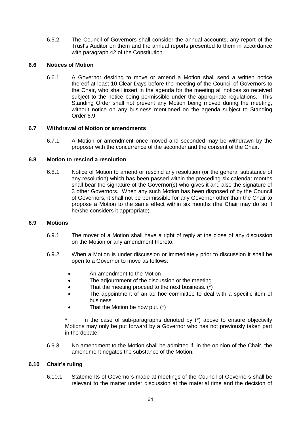6.5.2 The Council of Governors shall consider the annual accounts, any report of the Trust's Auditor on them and the annual reports presented to them in accordance with paragraph 42 of the Constitution.

### **6.6 Notices of Motion**

6.6.1 A Governor desiring to move or amend a Motion shall send a written notice thereof at least 10 Clear Days before the meeting of the Council of Governors to the Chair, who shall insert in the agenda for the meeting all notices so received subject to the notice being permissible under the appropriate regulations. This Standing Order shall not prevent any Motion being moved during the meeting, without notice on any business mentioned on the agenda subject to Standing Order 6.9.

# **6.7 Withdrawal of Motion or amendments**

6.7.1 A Motion or amendment once moved and seconded may be withdrawn by the proposer with the concurrence of the seconder and the consent of the Chair.

# **6.8 Motion to rescind a resolution**

6.8.1 Notice of Motion to amend or rescind any resolution (or the general substance of any resolution) which has been passed within the preceding six calendar months shall bear the signature of the Governor(s) who gives it and also the signature of 3 other Governors. When any such Motion has been disposed of by the Council of Governors, it shall not be permissible for any Governor other than the Chair to propose a Motion to the same effect within six months (the Chair may do so if he/she considers it appropriate).

### **6.9 Motions**

- 6.9.1 The mover of a Motion shall have a right of reply at the close of any discussion on the Motion or any amendment thereto.
- 6.9.2 When a Motion is under discussion or immediately prior to discussion it shall be open to a Governor to move as follows:
	- An amendment to the Motion
	- The adjournment of the discussion or the meeting.
	- That the meeting proceed to the next business. (\*)
	- The appointment of an ad hoc committee to deal with a specific item of business.
	- $\bullet$  That the Motion be now put.  $(*)$

In the case of sub-paragraphs denoted by  $(*)$  above to ensure objectivity Motions may only be put forward by a Governor who has not previously taken part in the debate.

6.9.3 No amendment to the Motion shall be admitted if, in the opinion of the Chair, the amendment negates the substance of the Motion.

### **6.10 Chair's ruling**

6.10.1 Statements of Governors made at meetings of the Council of Governors shall be relevant to the matter under discussion at the material time and the decision of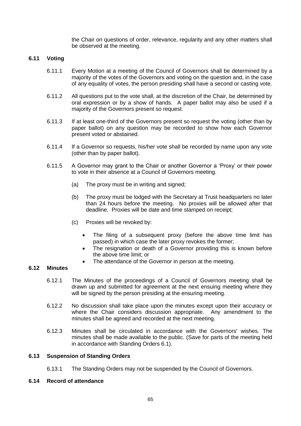the Chair on questions of order, relevance, regularity and any other matters shall be observed at the meeting.

#### **6.11 Voting**

- 6.11.1 Every Motion at a meeting of the Council of Governors shall be determined by a majority of the votes of the Governors and voting on the question and, in the case of any equality of votes, the person presiding shall have a second or casting vote.
- 6.11.2 All questions put to the vote shall, at the discretion of the Chair, be determined by oral expression or by a show of hands. A paper ballot may also be used if a majority of the Governors present so request.
- 6.11.3 If at least one-third of the Governors present so request the voting (other than by paper ballot) on any question may be recorded to show how each Governor present voted or abstained.
- 6.11.4 If a Governor so requests, his/her vote shall be recorded by name upon any vote (other than by paper ballot).
- 6.11.5 A Governor may grant to the Chair or another Governor a 'Proxy' or their power to vote in their absence at a Council of Governors meeting.
	- (a) The proxy must be in writing and signed;
	- (b) The proxy must be lodged with the Secretary at Trust headquarters no later than 24 hours before the meeting. No proxies will be allowed after that deadline. Proxies will be date and time stamped on receipt;
	- (c) Proxies will be revoked by:
		- The filing of a subsequent proxy (before the above time limit has passed) in which case the later proxy revokes the former;
		- The resignation or death of a Governor providing this is known before the above time limit; or
		- The attendance of the Governor in person at the meeting.

### **6.12 Minutes**

- 6.12.1 The Minutes of the proceedings of a Council of Governors meeting shall be drawn up and submitted for agreement at the next ensuing meeting where they will be signed by the person presiding at the ensuring meeting.
- 6.12.2 No discussion shall take place upon the minutes except upon their accuracy or where the Chair considers discussion appropriate. Any amendment to the minutes shall be agreed and recorded at the next meeting.
- 6.12.3 Minutes shall be circulated in accordance with the Governors' wishes. The minutes shall be made available to the public. (Save for parts of the meeting held in accordance with Standing Orders 6.1).

#### **6.13 Suspension of Standing Orders**

6.13.1 The Standing Orders may not be suspended by the Council of Governors.

#### **6.14 Record of attendance**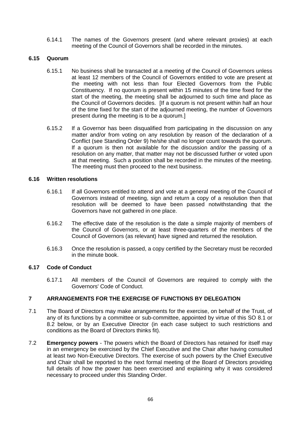6.14.1 The names of the Governors present (and where relevant proxies) at each meeting of the Council of Governors shall be recorded in the minutes.

#### **6.15 Quorum**

- 6.15.1 No business shall be transacted at a meeting of the Council of Governors unless at least 12 members of the Council of Governors entitled to vote are present at the meeting with not less than four Elected Governors from the Public Constituency. If no quorum is present within 15 minutes of the time fixed for the start of the meeting, the meeting shall be adjourned to such time and place as the Council of Governors decides. [If a quorum is not present within half an hour of the time fixed for the start of the adjourned meeting, the number of Governors present during the meeting is to be a quorum.]
- 6.15.2 If a Governor has been disqualified from participating in the discussion on any matter and/or from voting on any resolution by reason of the declaration of a Conflict (see Standing Order 9) he/she shall no longer count towards the quorum. If a quorum is then not available for the discussion and/or the passing of a resolution on any matter, that matter may not be discussed further or voted upon at that meeting. Such a position shall be recorded in the minutes of the meeting. The meeting must then proceed to the next business.

#### **6.16 Written resolutions**

- 6.16.1 If all Governors entitled to attend and vote at a general meeting of the Council of Governors instead of meeting, sign and return a copy of a resolution then that resolution will be deemed to have been passed notwithstanding that the Governors have not gathered in one place.
- 6.16.2 The effective date of the resolution is the date a simple majority of members of the Council of Governors, or at least three-quarters of the members of the Council of Governors (as relevant) have signed and returned the resolution.
- 6.16.3 Once the resolution is passed, a copy certified by the Secretary must be recorded in the minute book.

### **6.17 Code of Conduct**

6.17.1 All members of the Council of Governors are required to comply with the Governors' Code of Conduct.

### **7 ARRANGEMENTS FOR THE EXERCISE OF FUNCTIONS BY DELEGATION**

- 7.1 The Board of Directors may make arrangements for the exercise, on behalf of the Trust, of any of its functions by a committee or sub-committee, appointed by virtue of this SO 8.1 or 8.2 below, or by an Executive Director (in each case subject to such restrictions and conditions as the Board of Directors thinks fit).
- 7.2 **Emergency powers** The powers which the Board of Directors has retained for itself may in an emergency be exercised by the Chief Executive and the Chair after having consulted at least two Non-Executive Directors. The exercise of such powers by the Chief Executive and Chair shall be reported to the next formal meeting of the Board of Directors providing full details of how the power has been exercised and explaining why it was considered necessary to proceed under this Standing Order.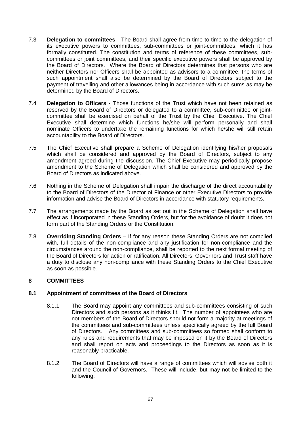- 7.3 **Delegation to committees** The Board shall agree from time to time to the delegation of its executive powers to committees, sub-committees or joint-committees, which it has formally constituted. The constitution and terms of reference of these committees, subcommittees or joint committees, and their specific executive powers shall be approved by the Board of Directors. Where the Board of Directors determines that persons who are neither Directors nor Officers shall be appointed as advisors to a committee, the terms of such appointment shall also be determined by the Board of Directors subject to the payment of travelling and other allowances being in accordance with such sums as may be determined by the Board of Directors.
- 7.4 **Delegation to Officers** Those functions of the Trust which have not been retained as reserved by the Board of Directors or delegated to a committee, sub-committee or jointcommittee shall be exercised on behalf of the Trust by the Chief Executive. The Chief Executive shall determine which functions he/she will perform personally and shall nominate Officers to undertake the remaining functions for which he/she will still retain accountability to the Board of Directors.
- 7.5 The Chief Executive shall prepare a Scheme of Delegation identifying his/her proposals which shall be considered and approved by the Board of Directors, subject to any amendment agreed during the discussion. The Chief Executive may periodically propose amendment to the Scheme of Delegation which shall be considered and approved by the Board of Directors as indicated above.
- 7.6 Nothing in the Scheme of Delegation shall impair the discharge of the direct accountability to the Board of Directors of the Director of Finance or other Executive Directors to provide information and advise the Board of Directors in accordance with statutory requirements.
- 7.7 The arrangements made by the Board as set out in the Scheme of Delegation shall have effect as if incorporated in these Standing Orders, but for the avoidance of doubt it does not form part of the Standing Orders or the Constitution.
- 7.8 **Overriding Standing Orders** If for any reason these Standing Orders are not complied with, full details of the non-compliance and any justification for non-compliance and the circumstances around the non-compliance, shall be reported to the next formal meeting of the Board of Directors for action or ratification. All Directors, Governors and Trust staff have a duty to disclose any non-compliance with these Standing Orders to the Chief Executive as soon as possible.

### **8 COMMITTEES**

### **8.1 Appointment of committees of the Board of Directors**

- 8.1.1 The Board may appoint any committees and sub-committees consisting of such Directors and such persons as it thinks fit. The number of appointees who are not members of the Board of Directors should not form a majority at meetings of the committees and sub-committees unless specifically agreed by the full Board of Directors. Any committees and sub-committees so formed shall conform to any rules and requirements that may be imposed on it by the Board of Directors and shall report on acts and proceedings to the Directors as soon as it is reasonably practicable.
- 8.1.2 The Board of Directors will have a range of committees which will advise both it and the Council of Governors. These will include, but may not be limited to the following: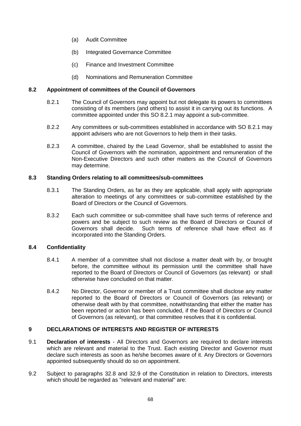- (a) Audit Committee
- (b) Integrated Governance Committee
- (c) Finance and Investment Committee
- (d) Nominations and Remuneration Committee

# **8.2 Appointment of committees of the Council of Governors**

- 8.2.1 The Council of Governors may appoint but not delegate its powers to committees consisting of its members (and others) to assist it in carrying out its functions. A committee appointed under this SO 8.2.1 may appoint a sub-committee.
- 8.2.2 Any committees or sub-committees established in accordance with SO 8.2.1 may appoint advisers who are not Governors to help them in their tasks.
- 8.2.3 A committee, chaired by the Lead Governor, shall be established to assist the Council of Governors with the nomination, appointment and remuneration of the Non-Executive Directors and such other matters as the Council of Governors may determine.

# **8.3 Standing Orders relating to all committees/sub-committees**

- 8.3.1 The Standing Orders, as far as they are applicable, shall apply with appropriate alteration to meetings of any committees or sub-committee established by the Board of Directors or the Council of Governors.
- 8.3.2 Each such committee or sub-committee shall have such terms of reference and powers and be subject to such review as the Board of Directors or Council of Governors shall decide. Such terms of reference shall have effect as if incorporated into the Standing Orders.

# **8.4 Confidentiality**

- 8.4.1 A member of a committee shall not disclose a matter dealt with by, or brought before, the committee without its permission until the committee shall have reported to the Board of Directors or Council of Governors (as relevant) or shall otherwise have concluded on that matter.
- 8.4.2 No Director, Governor or member of a Trust committee shall disclose any matter reported to the Board of Directors or Council of Governors (as relevant) or otherwise dealt with by that committee, notwithstanding that either the matter has been reported or action has been concluded, if the Board of Directors or Council of Governors (as relevant), or that committee resolves that it is confidential.

# **9 DECLARATIONS OF INTERESTS AND REGISTER OF INTERESTS**

- 9.1 **Declaration of interests** All Directors and Governors are required to declare interests which are relevant and material to the Trust. Each existing Director and Governor must declare such interests as soon as he/she becomes aware of it. Any Directors or Governors appointed subsequently should do so on appointment.
- 9.2 Subject to paragraphs 32.8 and 32.9 of the Constitution in relation to Directors, interests which should be regarded as "relevant and material" are: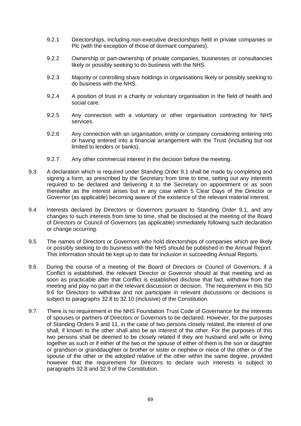- 9.2.1 Directorships, including non-executive directorships held in private companies or Plc (with the exception of those of dormant companies).
- 9.2.2 Ownership or part-ownership of private companies, businesses or consultancies likely or possibly seeking to do business with the NHS.
- 9.2.3 Majority or controlling share holdings in organisations likely or possibly seeking to do business with the NHS.
- 9.2.4 A position of trust in a charity or voluntary organisation in the field of health and social care.
- 9.2.5 Any connection with a voluntary or other organisation contracting for NHS services.
- 9.2.6 Any connection with an organisation, entity or company considering entering into or having entered into a financial arrangement with the Trust (including but not limited to lenders or banks).
- 9.2.7 Any other commercial interest in the decision before the meeting.
- 9.3 A declaration which is required under Standing Order 9.1 shall be made by completing and signing a form, as prescribed by the Secretary from time to time, setting out any interests required to be declared and delivering it to the Secretary on appointment or as soon thereafter as the interest arises but in any case within 5 Clear Days of the Director or Governor (as applicable) becoming aware of the existence of the relevant material interest.
- 9.4 Interests declared by Directors or Governors pursuant to Standing Order 9.1, and any changes to such interests from time to time, shall be disclosed at the meeting of the Board of Directors or Council of Governors (as applicable) immediately following such declaration or change occurring.
- 9.5 The names of Directors or Governors who hold directorships of companies which are likely or possibly seeking to do business with the NHS should be published in the Annual Report. This information should be kept up to date for inclusion in succeeding Annual Reports.
- 9.6 During the course of a meeting of the Board of Directors or Council of Governors, if a Conflict is established, the relevant Director or Governor should at that meeting and as soon as practicable after that Conflict is established disclose that fact, withdraw from the meeting and play no part in the relevant discussion or decision. The requirement in this SO 9.6 for Directors to withdraw and not participate in relevant discussions or decisions is subject to paragraphs 32.8 to 32.10 (inclusive) of the Constitution.
- 9.7 There is no requirement in the NHS Foundation Trust Code of Governance for the interests of spouses or partners of Directors or Governors to be declared. However, for the purposes of Standing Orders 9 and 11, in the case of two persons closely related, the interest of one shall, if known to the other shall also be an interest of the other. For the purposes of this two persons shall be deemed to be closely related if they are husband and wife or living together as such or if either of the two or the spouse of either of them is the son or daughter or grandson or granddaughter or brother or sister or nephew or niece of the other or of the spouse of the other or the adopted relative of the other within the same degree, provided however that the requirement for Directors to declare such interests is subject to paragraphs 32.8 and 32.9 of the Constitution.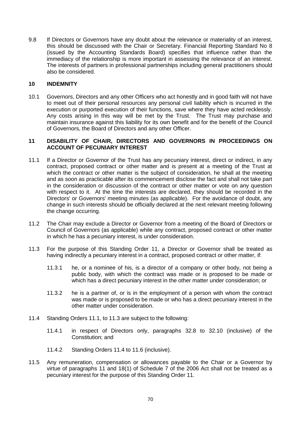9.8 If Directors or Governors have any doubt about the relevance or materiality of an interest, this should be discussed with the Chair or Secretary. Financial Reporting Standard No 8 (issued by the Accounting Standards Board) specifies that influence rather than the immediacy of the relationship is more important in assessing the relevance of an interest. The interests of partners in professional partnerships including general practitioners should also be considered.

#### **10 INDEMNITY**

10.1 Governors, Directors and any other Officers who act honestly and in good faith will not have to meet out of their personal resources any personal civil liability which is incurred in the execution or purported execution of their functions, save where they have acted recklessly. Any costs arising in this way will be met by the Trust. The Trust may purchase and maintain insurance against this liability for its own benefit and for the benefit of the Council of Governors, the Board of Directors and any other Officer.

#### **11 DISABILITY OF CHAIR, DIRECTORS AND GOVERNORS IN PROCEEDINGS ON ACCOUNT OF PECUNIARY INTEREST**

- 11.1 If a Director or Governor of the Trust has any pecuniary interest, direct or indirect, in any contract, proposed contract or other matter and is present at a meeting of the Trust at which the contract or other matter is the subject of consideration, he shall at the meeting and as soon as practicable after its commencement disclose the fact and shall not take part in the consideration or discussion of the contract or other matter or vote on any question with respect to it. At the time the interests are declared, they should be recorded in the Directors' or Governors' meeting minutes (as applicable). For the avoidance of doubt, any change in such interests should be officially declared at the next relevant meeting following the change occurring.
- 11.2 The Chair may exclude a Director or Governor from a meeting of the Board of Directors or Council of Governors (as applicable) while any contract, proposed contract or other matter in which he has a pecuniary interest, is under consideration.
- 11.3 For the purpose of this Standing Order 11, a Director or Governor shall be treated as having indirectly a pecuniary interest in a contract, proposed contract or other matter, if:
	- 11.3.1 he, or a nominee of his, is a director of a company or other body, not being a public body, with which the contract was made or is proposed to be made or which has a direct pecuniary interest in the other matter under consideration; or
	- 11.3.2 he is a partner of, or is in the employment of a person with whom the contract was made or is proposed to be made or who has a direct pecuniary interest in the other matter under consideration.
- 11.4 Standing Orders 11.1, to 11.3 are subject to the following:
	- 11.4.1 in respect of Directors only, paragraphs 32.8 to 32.10 (inclusive) of the Constitution; and
	- 11.4.2 Standing Orders 11.4 to 11.6 (inclusive).
- 11.5 Any remuneration, compensation or allowances payable to the Chair or a Governor by virtue of paragraphs 11 and 18(1) of Schedule 7 of the 2006 Act shall not be treated as a pecuniary interest for the purpose of this Standing Order 11.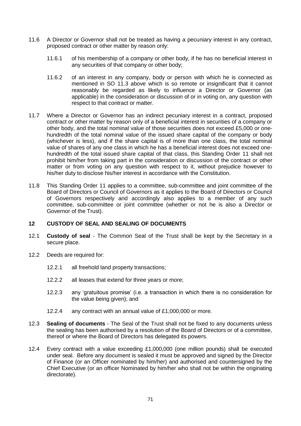- 11.6 A Director or Governor shall not be treated as having a pecuniary interest in any contract, proposed contract or other matter by reason only:
	- 11.6.1 of his membership of a company or other body, if he has no beneficial interest in any securities of that company or other body;
	- 11.6.2 of an interest in any company, body or person with which he is connected as mentioned in SO 11.3 above which is so remote or insignificant that it cannot reasonably be regarded as likely to influence a Director or Governor (as applicable) in the consideration or discussion of or in voting on, any question with respect to that contract or matter.
- 11.7 Where a Director or Governor has an indirect pecuniary interest in a contract, proposed contract or other matter by reason only of a beneficial interest in securities of a company or other body, and the total nominal value of those securities does not exceed £5,000 or onehundredth of the total nominal value of the issued share capital of the company or body (whichever is less), and if the share capital is of more than one class, the total nominal value of shares of any one class in which he has a beneficial interest does not exceed onehundredth of the total issued share capital of that class, this Standing Order 11 shall not prohibit him/her from taking part in the consideration or discussion of the contract or other matter or from voting on any question with respect to it, without prejudice however to his/her duty to disclose his/her interest in accordance with the Constitution.
- 11.8 This Standing Order 11 applies to a committee, sub-committee and joint committee of the Board of Directors or Council of Governors as it applies to the Board of Directors or Council of Governors respectively and accordingly also applies to a member of any such committee, sub-committee or joint committee (whether or not he is also a Director or Governor of the Trust).

### **12 CUSTODY OF SEAL AND SEALING OF DOCUMENTS**

- 12.1 **Custody of seal** The Common Seal of the Trust shall be kept by the Secretary in a secure place.
- 12.2 Deeds are required for:
	- 12.2.1 all freehold land property transactions;
	- 12.2.2 all leases that extend for three years or more;
	- 12.2.3 any 'gratuitous promise' (i.e. a transaction in which there is no consideration for the value being given); and
	- 12.2.4 any contract with an annual value of £1,000,000 or more.
- 12.3 **Sealing of documents** The Seal of the Trust shall not be fixed to any documents unless the sealing has been authorised by a resolution of the Board of Directors or of a committee, thereof or where the Board of Directors has delegated its powers.
- 12.4 Every contract with a value exceeding £1,000,000 (one million pounds) shall be executed under seal. Before any document is sealed it must be approved and signed by the Director of Finance (or an Officer nominated by him/her) and authorised and countersigned by the Chief Executive (or an officer Nominated by him/her who shall not be within the originating directorate).